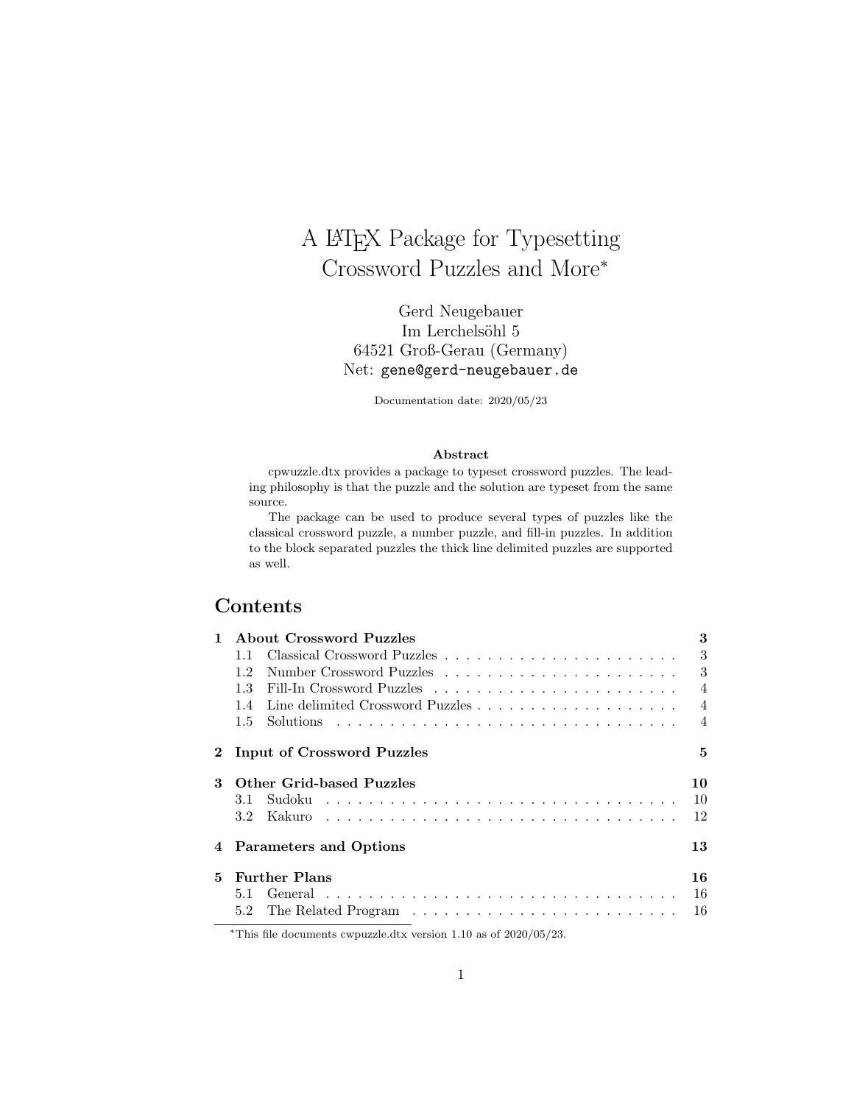# A LATEX Package for Typesetting Crossword Puzzles and More<sup>∗</sup>

Gerd Neugebauer Im Lerchelsöhl 5 64521 Groß-Gerau (Germany) Net: gene@gerd-neugebauer.de

Documentation date: 2020/05/23

#### Abstract

cpwuzzle.dtx provides a package to typeset crossword puzzles. The leading philosophy is that the puzzle and the solution are typeset from the same source.

The package can be used to produce several types of puzzles like the classical crossword puzzle, a number puzzle, and fill-in puzzles. In addition to the block separated puzzles the thick line delimited puzzles are supported as well.

## Contents

| 1           | About Crossword Puzzles    | 3              |
|-------------|----------------------------|----------------|
|             | 1.1                        | 3              |
|             | 12                         | 3              |
|             | 1.3                        | $\overline{4}$ |
|             | 14                         | $\overline{4}$ |
|             | $1.5^{\circ}$              | $\overline{4}$ |
| $2^{\circ}$ | Input of Crossword Puzzles | 5              |
| 3           | Other Grid-based Puzzles   | 10             |
|             | 3.1                        | 10             |
|             | 3.2 <sub>1</sub>           | 12             |
|             | 4 Parameters and Options   | 13             |
| 5.          | <b>Further Plans</b>       | 16             |
|             | 5.1                        | 16             |
|             | 5.2                        | 16             |

<sup>∗</sup>This file documents cwpuzzle.dtx version 1.10 as of 2020/05/23.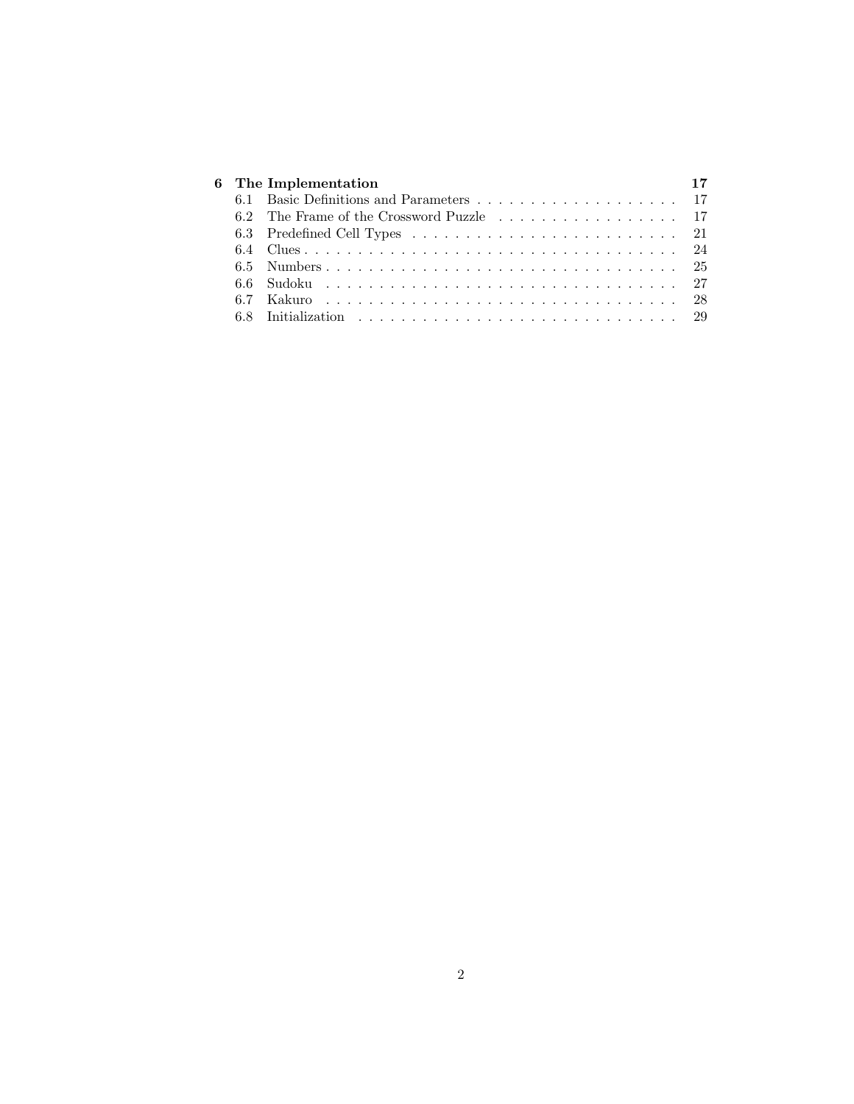|  | 6 The Implementation |  |
|--|----------------------|--|
|  |                      |  |
|  |                      |  |
|  |                      |  |
|  |                      |  |
|  |                      |  |
|  | 6.6 Sudoku  27       |  |
|  |                      |  |
|  |                      |  |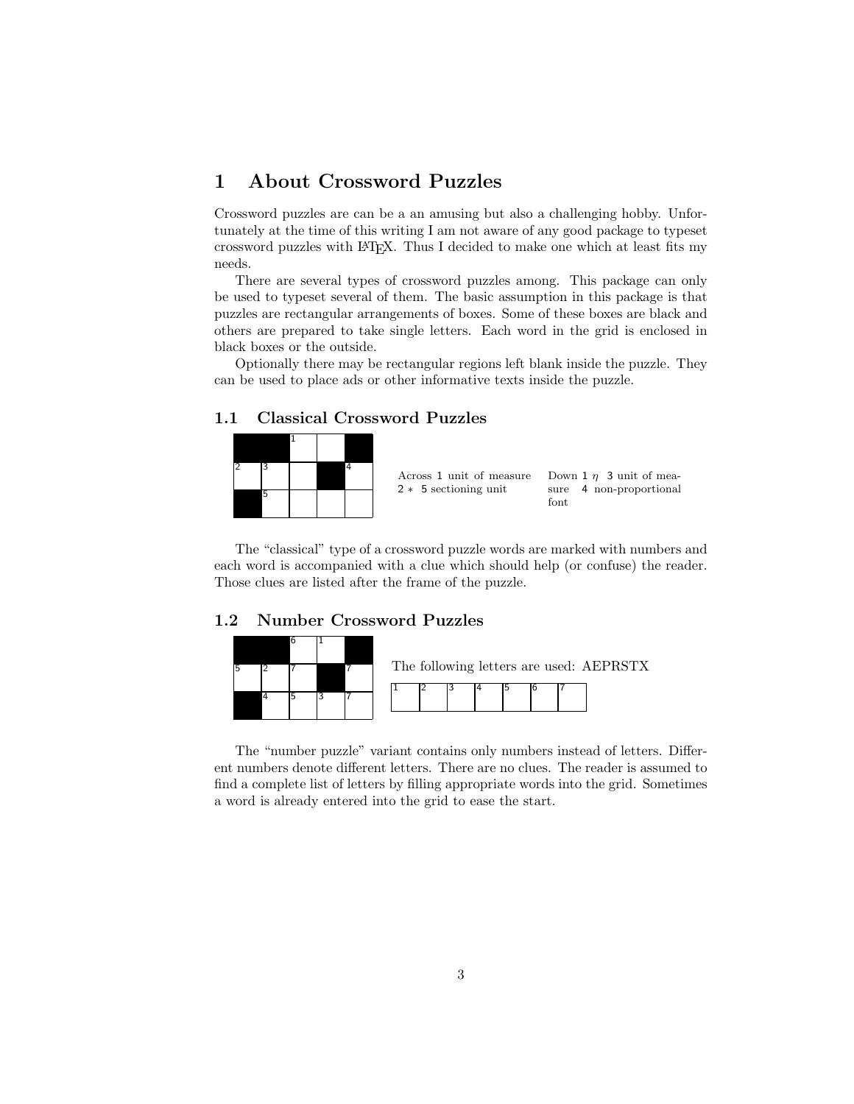## 1 About Crossword Puzzles

Crossword puzzles are can be a an amusing but also a challenging hobby. Unfortunately at the time of this writing I am not aware of any good package to typeset crossword puzzles with LATEX. Thus I decided to make one which at least fits my needs.

There are several types of crossword puzzles among. This package can only be used to typeset several of them. The basic assumption in this package is that puzzles are rectangular arrangements of boxes. Some of these boxes are black and others are prepared to take single letters. Each word in the grid is enclosed in black boxes or the outside.

Optionally there may be rectangular regions left blank inside the puzzle. They can be used to place ads or other informative texts inside the puzzle.

## 1.1 Classical Crossword Puzzles



The "classical" type of a crossword puzzle words are marked with numbers and each word is accompanied with a clue which should help (or confuse) the reader. Those clues are listed after the frame of the puzzle.

## 1.2 Number Crossword Puzzles



The "number puzzle" variant contains only numbers instead of letters. Different numbers denote different letters. There are no clues. The reader is assumed to find a complete list of letters by filling appropriate words into the grid. Sometimes a word is already entered into the grid to ease the start.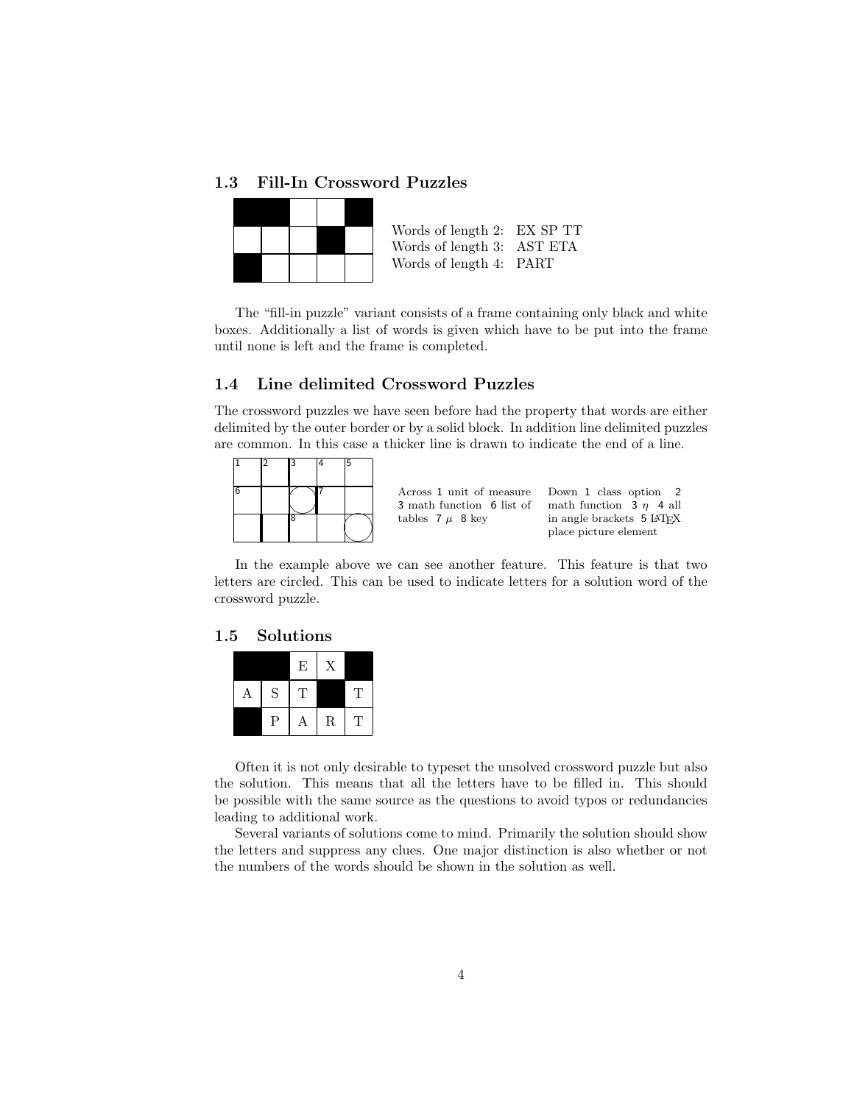#### 1.3 Fill-In Crossword Puzzles

| Words of length 2: EX SP TT |  |
|-----------------------------|--|
| Words of length 3: AST ETA  |  |
| Words of length 4: PART     |  |

The "fill-in puzzle" variant consists of a frame containing only black and white boxes. Additionally a list of words is given which have to be put into the frame until none is left and the frame is completed.

#### 1.4 Line delimited Crossword Puzzles

The crossword puzzles we have seen before had the property that words are either delimited by the outer border or by a solid block. In addition line delimited puzzles are common. In this case a thicker line is drawn to indicate the end of a line.



In the example above we can see another feature. This feature is that two letters are circled. This can be used to indicate letters for a solution word of the crossword puzzle.

## 1.5 Solutions

|   |   | E | Χ         |    |
|---|---|---|-----------|----|
| Α | S | т |           | Ч. |
|   | P | Α | ${\bf R}$ | T  |

Often it is not only desirable to typeset the unsolved crossword puzzle but also the solution. This means that all the letters have to be filled in. This should be possible with the same source as the questions to avoid typos or redundancies leading to additional work.

Several variants of solutions come to mind. Primarily the solution should show the letters and suppress any clues. One major distinction is also whether or not the numbers of the words should be shown in the solution as well.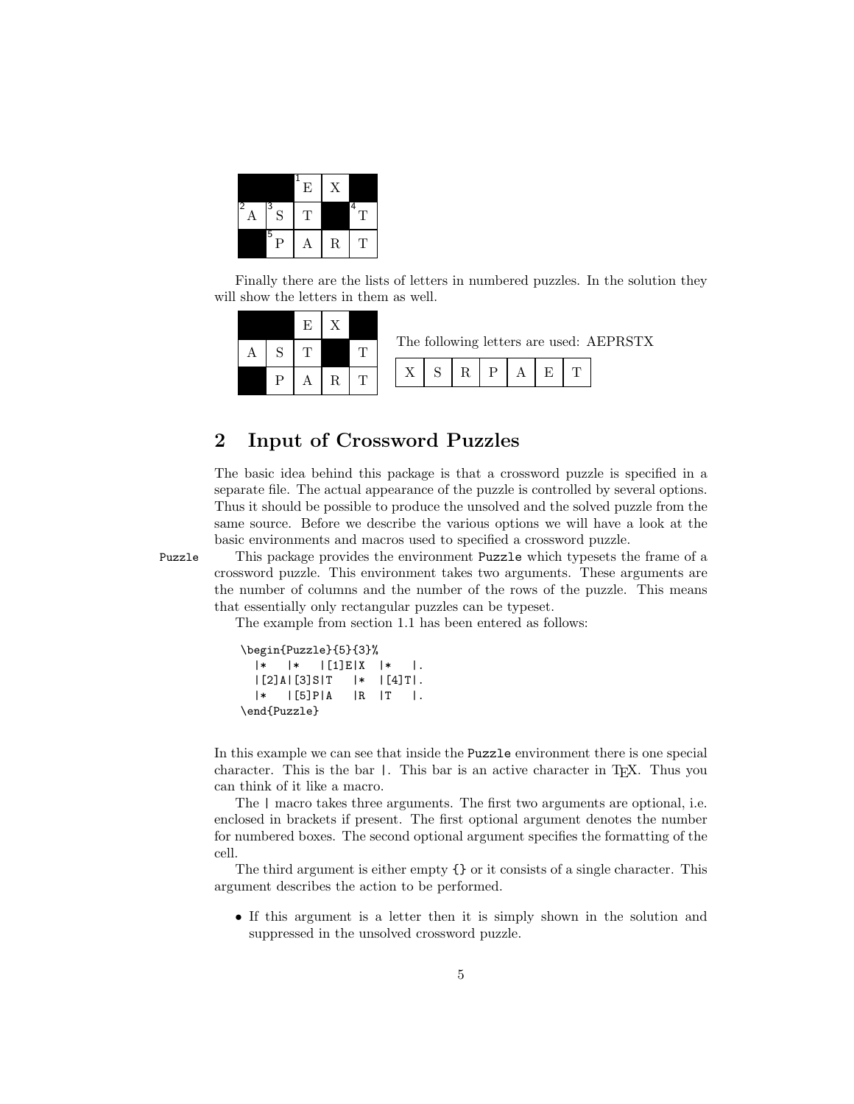|        |        | Ε  | Х           |        |
|--------|--------|----|-------------|--------|
| 2<br>A | 3<br>S | T, |             | 4<br>т |
|        | 5<br>Ρ | Α  | $\mathbf R$ | т      |

Finally there are the lists of letters in numbered puzzles. In the solution they will show the letters in them as well.

|  |  |  |  |   |  | The following letters are used: AEPRSTX |  |
|--|--|--|--|---|--|-----------------------------------------|--|
|  |  |  |  | D |  |                                         |  |

## 2 Input of Crossword Puzzles

The basic idea behind this package is that a crossword puzzle is specified in a separate file. The actual appearance of the puzzle is controlled by several options. Thus it should be possible to produce the unsolved and the solved puzzle from the same source. Before we describe the various options we will have a look at the basic environments and macros used to specified a crossword puzzle.

Puzzle This package provides the environment Puzzle which typesets the frame of a crossword puzzle. This environment takes two arguments. These arguments are the number of columns and the number of the rows of the puzzle. This means that essentially only rectangular puzzles can be typeset.

The example from section 1.1 has been entered as follows:

| \begin{Puzzle}{5}{3}% |                                                                                     |                |                                                |  |
|-----------------------|-------------------------------------------------------------------------------------|----------------|------------------------------------------------|--|
| l∗ ∶                  | $ \ast $ $\blacksquare$ $\blacksquare$ $\blacksquare$ $\blacksquare$ $\blacksquare$ |                | l∗ ⊦                                           |  |
|                       | [2] A   [3] S   T                                                                   |                | $ \cdot $ $ $ $\lceil$ 4 $\rceil$ T $\lceil$ . |  |
|                       | $ \cdot $ $ \cdot $ $ \cdot $                                                       | $\overline{R}$ | $ T $ .                                        |  |
| \end{Puzzle}          |                                                                                     |                |                                                |  |

In this example we can see that inside the Puzzle environment there is one special character. This is the bar |. This bar is an active character in TEX. Thus you can think of it like a macro.

The | macro takes three arguments. The first two arguments are optional, i.e. enclosed in brackets if present. The first optional argument denotes the number for numbered boxes. The second optional argument specifies the formatting of the cell.

The third argument is either empty {} or it consists of a single character. This argument describes the action to be performed.

• If this argument is a letter then it is simply shown in the solution and suppressed in the unsolved crossword puzzle.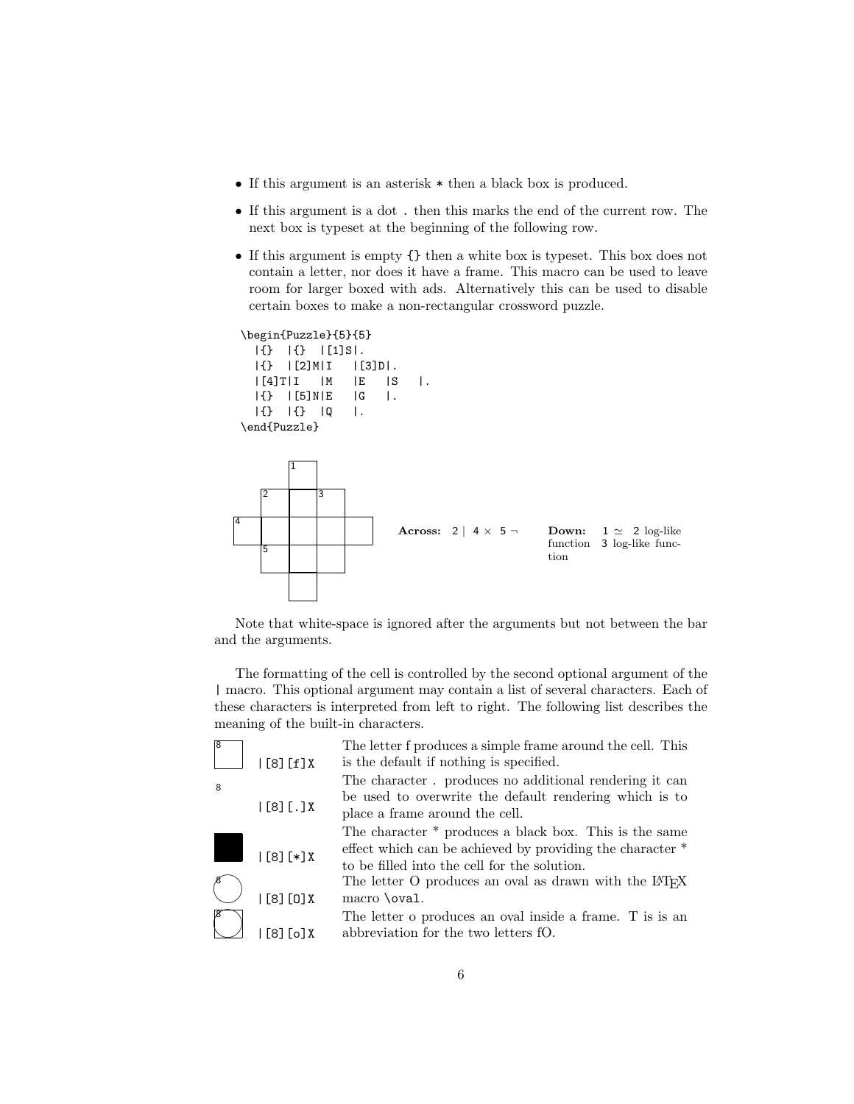- If this argument is an asterisk \* then a black box is produced.
- If this argument is a dot . then this marks the end of the current row. The next box is typeset at the beginning of the following row.
- If this argument is empty {} then a white box is typeset. This box does not contain a letter, nor does it have a frame. This macro can be used to leave room for larger boxed with ads. Alternatively this can be used to disable certain boxes to make a non-rectangular crossword puzzle.

```
\begin{Puzzle}{5}{5}
 |{} |{} |[1]S|.
 |\{\} | [2]M|I | [3]D|.
 |[4]T|I |M |E |S |.
 |{} |[5]N|E |G |.
 |{} |{} |Q |.
\end{Puzzle}
```


Note that white-space is ignored after the arguments but not between the bar and the arguments.

The formatting of the cell is controlled by the second optional argument of the | macro. This optional argument may contain a list of several characters. Each of these characters is interpreted from left to right. The following list describes the meaning of the built-in characters.

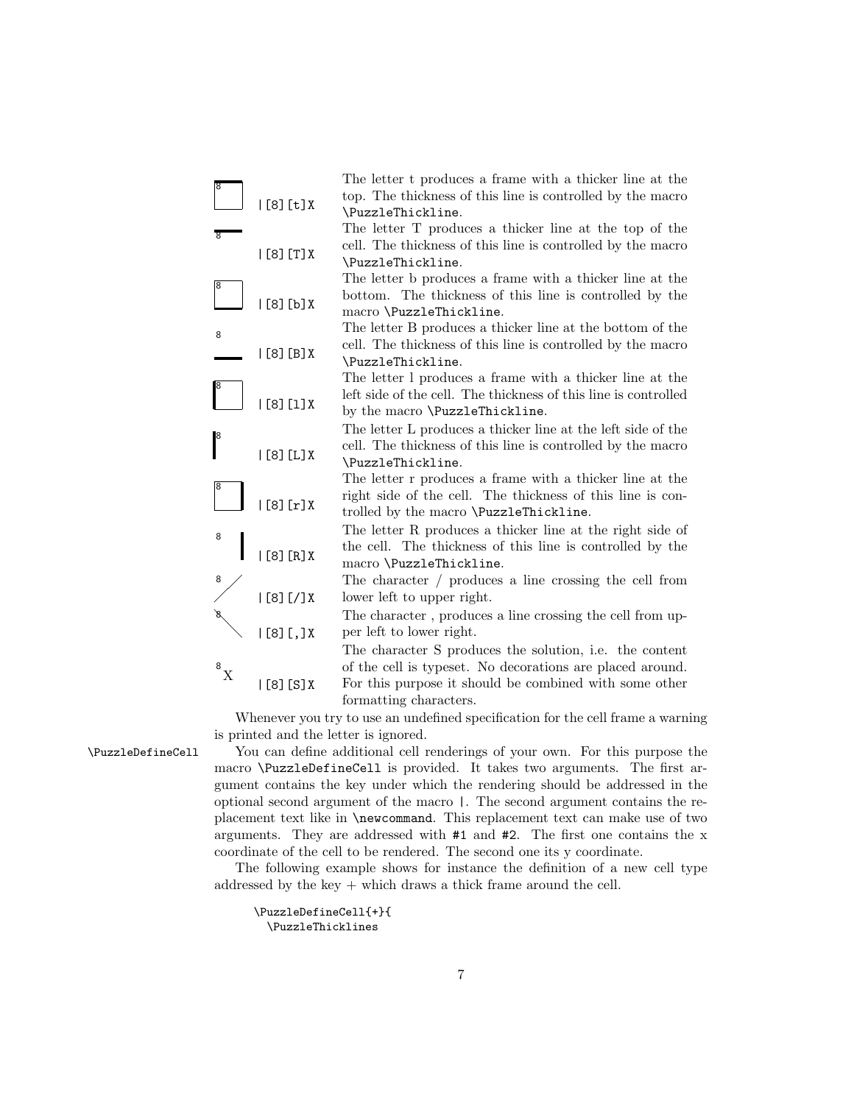

Whenever you try to use an undefined specification for the cell frame a warning is printed and the letter is ignored.

\PuzzleDefineCell You can define additional cell renderings of your own. For this purpose the macro \PuzzleDefineCell is provided. It takes two arguments. The first argument contains the key under which the rendering should be addressed in the optional second argument of the macro |. The second argument contains the replacement text like in \newcommand. This replacement text can make use of two arguments. They are addressed with  $#1$  and  $#2$ . The first one contains the x coordinate of the cell to be rendered. The second one its y coordinate.

> The following example shows for instance the definition of a new cell type addressed by the key + which draws a thick frame around the cell.

\PuzzleDefineCell{+}{ \PuzzleThicklines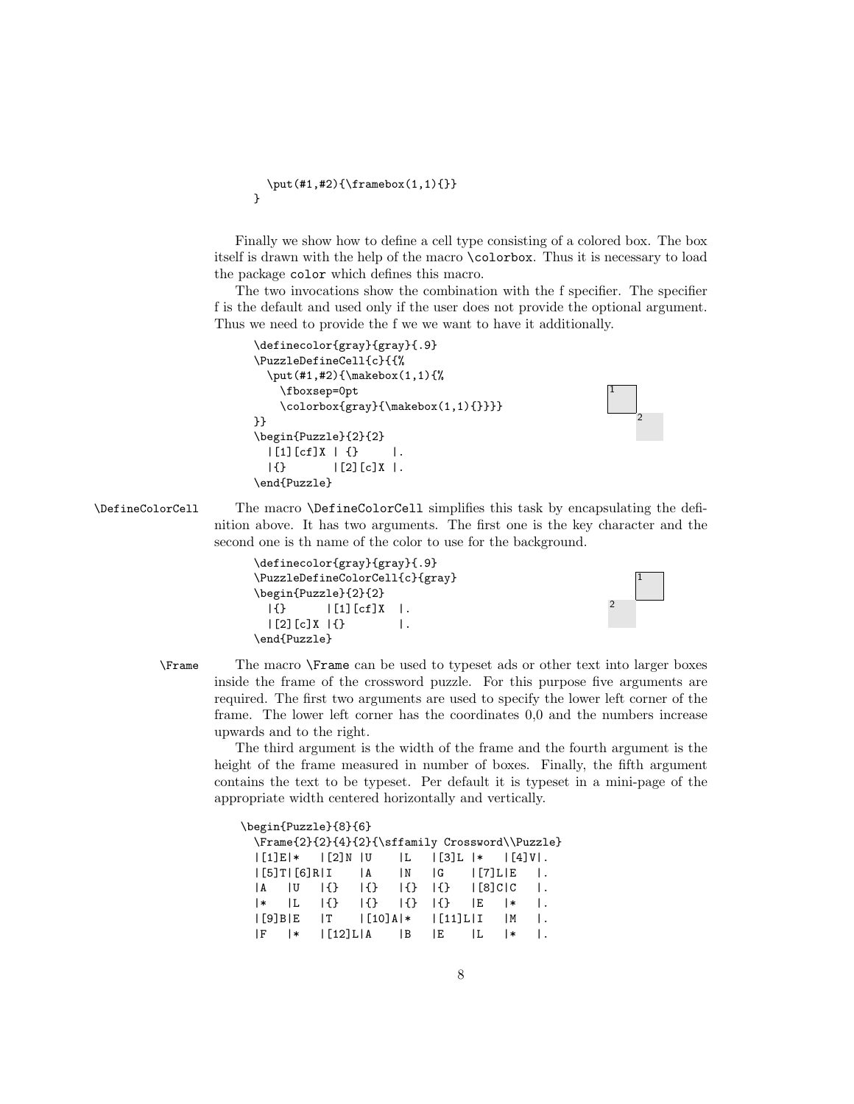```
\put (#1, #2){\frac{\ranh(X1,1){}}\ranh(X1,1)}
```
Finally we show how to define a cell type consisting of a colored box. The box itself is drawn with the help of the macro \colorbox. Thus it is necessary to load the package color which defines this macro.

The two invocations show the combination with the f specifier. The specifier f is the default and used only if the user does not provide the optional argument. Thus we need to provide the f we we want to have it additionally.

```
\definecolor{gray}{gray}{.9}
\PuzzleDefineCell{c}{{%
  \put(#1,#2){\makebox(1,1){%
    \fboxsep=0pt
    \colorbox{gray}{\makebox(1,1){}}}}
}}
\begin{Puzzle}{2}{2}
  |[1][cf]X | {\} |.
  |\{\} |[2][c]X|.\end{Puzzle}
```
2

1

2

1

\DefineColorCell The macro \DefineColorCell simplifies this task by encapsulating the definition above. It has two arguments. The first one is the key character and the second one is th name of the color to use for the background.

```
\definecolor{gray}{gray}{.9}
\PuzzleDefineColorCell{c}{gray}
\begin{Puzzle}{2}{2}
 |\{\} |[1][cf]X|.|[2][c]X| {} |.
\end{Puzzle}
```
\Frame The macro \Frame can be used to typeset ads or other text into larger boxes inside the frame of the crossword puzzle. For this purpose five arguments are required. The first two arguments are used to specify the lower left corner of the frame. The lower left corner has the coordinates 0,0 and the numbers increase upwards and to the right.

The third argument is the width of the frame and the fourth argument is the height of the frame measured in number of boxes. Finally, the fifth argument contains the text to be typeset. Per default it is typeset in a mini-page of the appropriate width centered horizontally and vertically.

|                 |     | \begin{Puzzle}{8}{6}                                                                                                            |           |                                              |     |    |    |
|-----------------|-----|---------------------------------------------------------------------------------------------------------------------------------|-----------|----------------------------------------------|-----|----|----|
|                 |     | \Frame{2}{2}{4}{2}{\sffamily Crossword\\Puzzle}                                                                                 |           |                                              |     |    |    |
|                 |     | $ [1]E *$ $ [2]N U$ $ L$ $ [3]L *$ $ [4]V $ .                                                                                   |           |                                              |     |    |    |
|                 |     | $\lfloor 5 \rfloor$ T $\lfloor 6 \rfloor$ R $\lfloor 1$ $\lfloor 4 \rfloor$                                                     |           | $ N $ $ G $ $ [7]L E $ .                     |     |    |    |
| $ A \tImes$     |     | $\{3\}$ $\{3\}$                                                                                                                 |           | $\{\}$ $\{\}$ $\{\}$ $\{3\}$ $\}$ $\{0, 1\}$ |     |    |    |
| $\vert * \vert$ | IL. | 15 <sup>2</sup>                                                                                                                 | $  \{ \}$ | $  \{ \}  $ $  \{ \}  $                      | IE. | ∣∗ | Ι. |
|                 |     | I [9] BIE I T                                                                                                                   |           | $ [10]A *$ $ [11]L I$  M                     |     |    | Ι. |
| IF.             | I∗  | $\begin{array}{c}\n\end{array}$ $\begin{array}{c}\n\end{array}$ $\begin{array}{c}\n\end{array}$ $\begin{array}{c}\n\end{array}$ |           | IE.                                          | IL. | l∗ |    |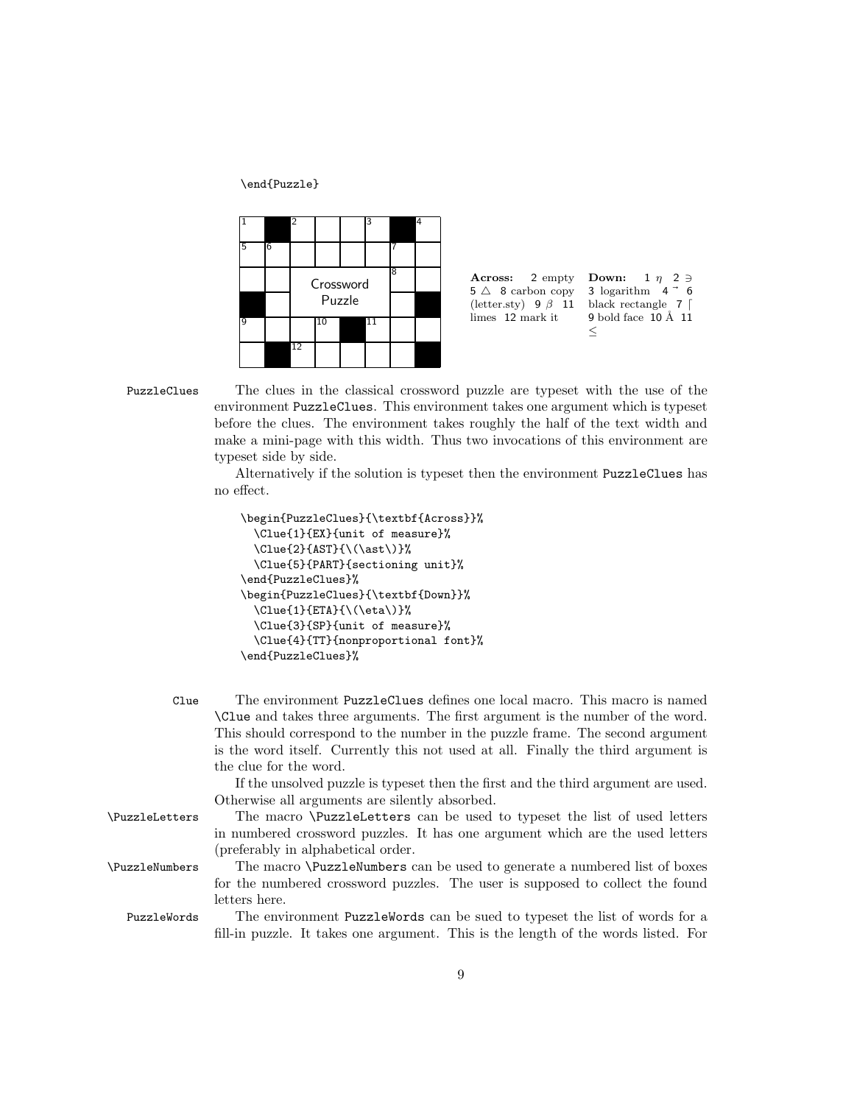\end{Puzzle}





```
3 logarithm 4 - 6black rectangle 7 \vert9 bold face 10 Å 11≤
```
PuzzleClues The clues in the classical crossword puzzle are typeset with the use of the environment PuzzleClues. This environment takes one argument which is typeset before the clues. The environment takes roughly the half of the text width and make a mini-page with this width. Thus two invocations of this environment are typeset side by side.

> Alternatively if the solution is typeset then the environment PuzzleClues has no effect.

```
\begin{PuzzleClues}{\textbf{Across}}%
 \Clue{1}{EX}{unit of measure}%
 \Upsilonlue{2}{AST}{\(\ast\)}%
  \Clue{5}{PART}{sectioning unit}%
\end{PuzzleClues}%
\begin{PuzzleClues}{\textbf{Down}}%
 \Clue{1}{ETA}{\(\eta\)}%
  \Clue{3}{SP}{unit of measure}%
  \Clue{4}{TT}{nonproportional font}%
\end{PuzzleClues}%
```

| The environment PuzzleClues defines one local macro. This macro is named<br>\Clue and takes three arguments. The first argument is the number of the word.<br>This should correspond to the number in the puzzle frame. The second argument |
|---------------------------------------------------------------------------------------------------------------------------------------------------------------------------------------------------------------------------------------------|
| is the word itself. Currently this not used at all. Finally the third argument is<br>the clue for the word.                                                                                                                                 |
| If the unsolved puzzle is typeset then the first and the third argument are used.                                                                                                                                                           |
| Otherwise all arguments are silently absorbed.                                                                                                                                                                                              |
| The macro <i>\PuzzleLetters</i> can be used to typeset the list of used letters                                                                                                                                                             |
| in numbered crossword puzzles. It has one argument which are the used letters                                                                                                                                                               |
| (preferably in alphabetical order.                                                                                                                                                                                                          |
| The macro \PuzzleNumbers can be used to generate a numbered list of boxes                                                                                                                                                                   |
| for the numbered crossword puzzles. The user is supposed to collect the found                                                                                                                                                               |
| letters here.                                                                                                                                                                                                                               |
| The environment PuzzleWords can be sued to typeset the list of words for a                                                                                                                                                                  |
| fill-in puzzle. It takes one argument. This is the length of the words listed. For                                                                                                                                                          |
|                                                                                                                                                                                                                                             |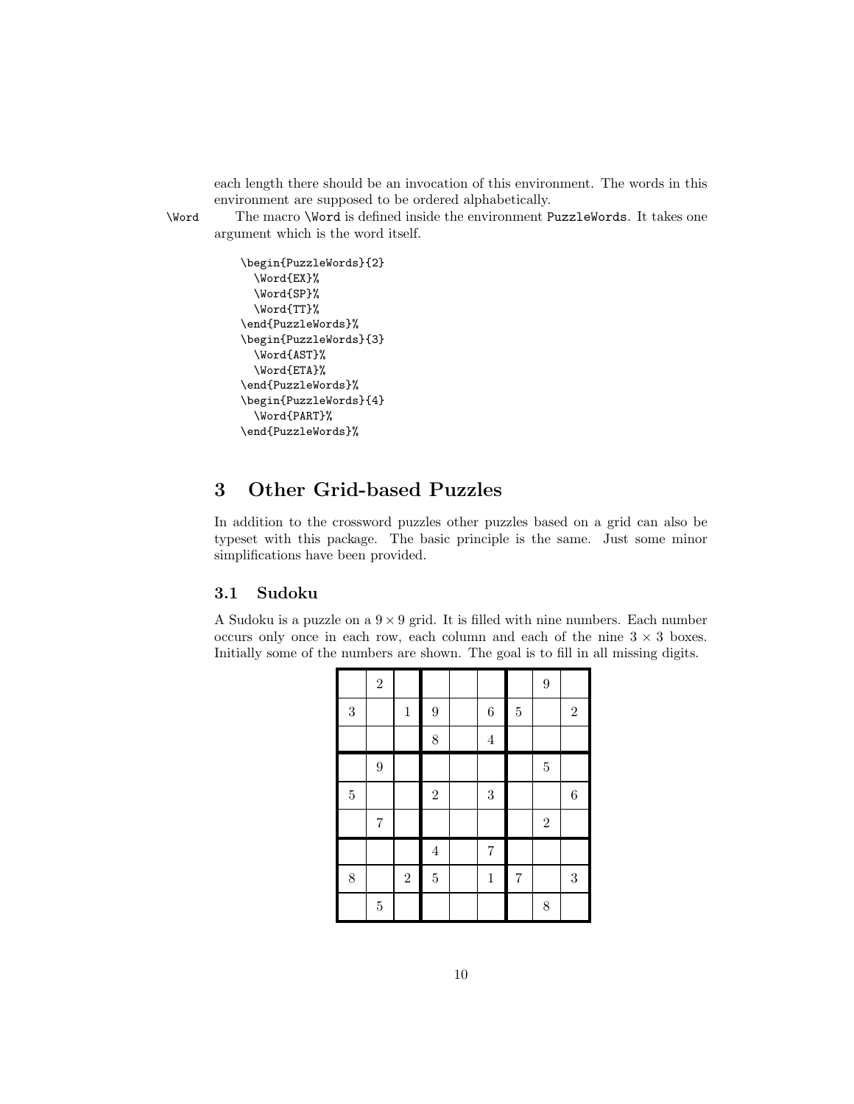each length there should be an invocation of this environment. The words in this environment are supposed to be ordered alphabetically.

\Word The macro \Word is defined inside the environment PuzzleWords. It takes one argument which is the word itself.

```
\begin{PuzzleWords}{2}
  \Word{EX}%
  \Word{SP}%
  \Word{TT}%
\end{PuzzleWords}%
\begin{PuzzleWords}{3}
 \Word{AST}%
  \Word{ETA}%
\end{PuzzleWords}%
\begin{PuzzleWords}{4}
  \Word{PART}%
\end{PuzzleWords}%
```
## 3 Other Grid-based Puzzles

In addition to the crossword puzzles other puzzles based on a grid can also be typeset with this package. The basic principle is the same. Just some minor simplifications have been provided.

## 3.1 Sudoku

A Sudoku is a puzzle on a  $9 \times 9$  grid. It is filled with nine numbers. Each number occurs only once in each row, each column and each of the nine  $3 \times 3$  boxes. Initially some of the numbers are shown. The goal is to fill in all missing digits.

|                | $\overline{2}$ |            |                  |                |                | $\overline{9}$ |                  |
|----------------|----------------|------------|------------------|----------------|----------------|----------------|------------------|
| $\overline{3}$ |                | $\,1\,$    | $\boldsymbol{9}$ | $\overline{6}$ | $\bf 5$        |                | $\overline{2}$   |
|                |                |            | $\,$ $\,$        | $\overline{4}$ |                |                |                  |
|                | $\overline{9}$ |            |                  |                |                | $\overline{5}$ |                  |
| $\overline{5}$ |                |            | $\sqrt{2}$       | $\overline{3}$ |                |                | $\,6\,$          |
|                | $\overline{7}$ |            |                  |                |                | $\overline{2}$ |                  |
|                |                |            | $\overline{4}$   | $\overline{7}$ |                |                |                  |
| 8              |                | $\sqrt{2}$ | $\bf 5$          | $\,1$          | $\overline{7}$ |                | $\boldsymbol{3}$ |
|                | $\bf 5$        |            |                  |                |                | 8              |                  |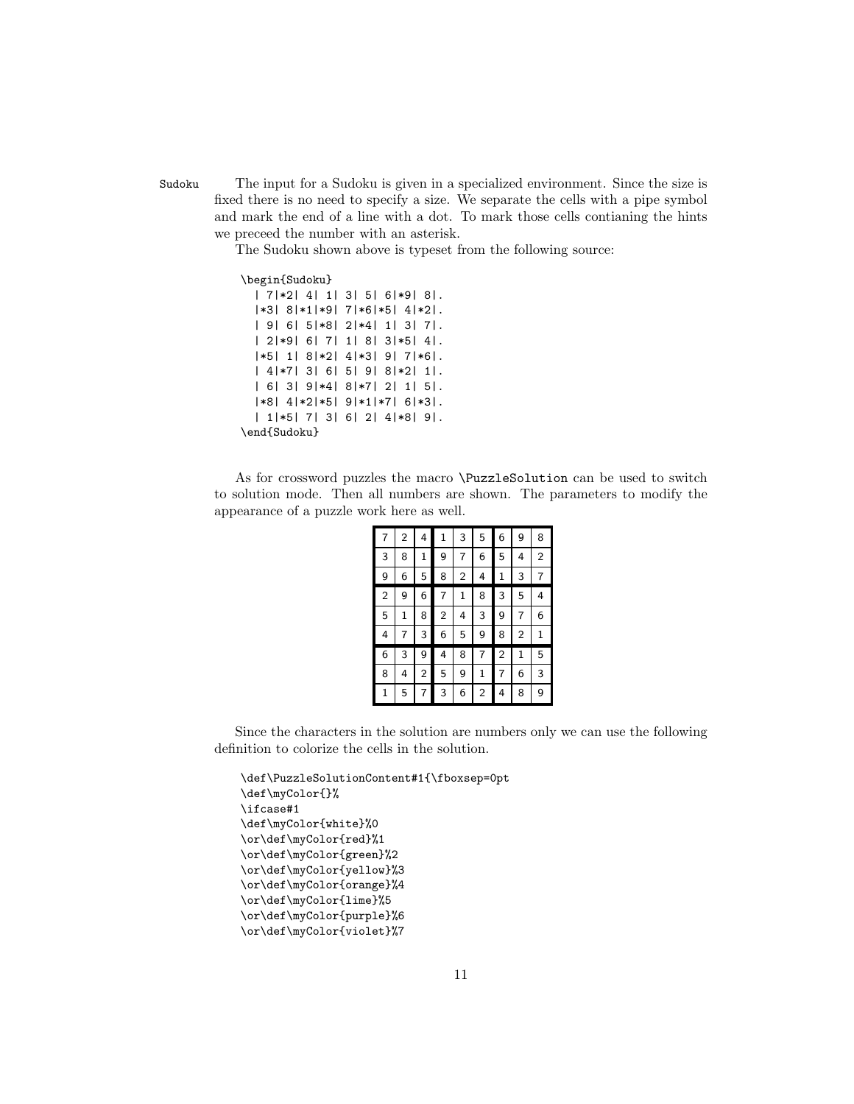Sudoku The input for a Sudoku is given in a specialized environment. Since the size is fixed there is no need to specify a size. We separate the cells with a pipe symbol and mark the end of a line with a dot. To mark those cells contianing the hints we preceed the number with an asterisk.

The Sudoku shown above is typeset from the following source:

```
\begin{Sudoku}
 | 7|*2| 4| 1| 3| 5| 6|*9| 8|.
 |*3| 8|*1|*9| 7|*6|*5| 4|*2|.
 | 9| 6| 5|*8| 2|*4| 1| 3| 7|.
 | 2|*9| 6| 7| 1| 8| 3|*5| 4|.
 |*5| 1| 8|*2| 4|*3| 9| 7|*6|.
 | 4|*7| 3| 6| 5| 9| 8|*2| 1|.
 | 6| 3| 9|*4| 8|*7| 2| 1| 5|.
 |*8| 4|*2|*5| 9|*1|*7| 6|*3|.
 | 1|*5| 7| 3| 6| 2| 4|*8| 9|.
\end{Sudoku}
```
As for crossword puzzles the macro \PuzzleSolution can be used to switch to solution mode. Then all numbers are shown. The parameters to modify the appearance of a puzzle work here as well.

| 7              | $\overline{2}$ | 4              | 1              | 3              | 5              | 6              | 9 | 8              |
|----------------|----------------|----------------|----------------|----------------|----------------|----------------|---|----------------|
| 3              | 8              | 1              | 9              | 7              | 6              | 5              | 4 | $\overline{2}$ |
| 9              | 6              | 5              | 8              | $\overline{2}$ | 4              | 1              | 3 | 7              |
| $\overline{2}$ | 9              | 6              | $\overline{7}$ | 1              | 8              | 3              | 5 | 4              |
| 5              | 1              | 8              | $\sqrt{2}$     | 4              | 3              | 9              | 7 | 6              |
| 4              | 7              | 3              | 6              | 5              | 9              | 8              | 2 | 1              |
| 6              | 3              | 9              | 4              | 8              | 7              | $\overline{2}$ | 1 | 5              |
| 8              | 4              | $\overline{2}$ | 5              | 9              | 1              | 7              | 6 | 3              |
| 1              | 5              | 7              | 3              | 6              | $\overline{2}$ | 4              | 8 | 9              |

Since the characters in the solution are numbers only we can use the following definition to colorize the cells in the solution.

```
\def\PuzzleSolutionContent#1{\fboxsep=0pt
\def\myColor{}%
\ifcase#1
\def\myColor{white}%0
\or\def\myColor{red}%1
\or\def\myColor{green}%2
\or\def\myColor{yellow}%3
\or\def\myColor{orange}%4
\or\def\myColor{lime}%5
\or\def\myColor{purple}%6
\or\def\myColor{violet}%7
```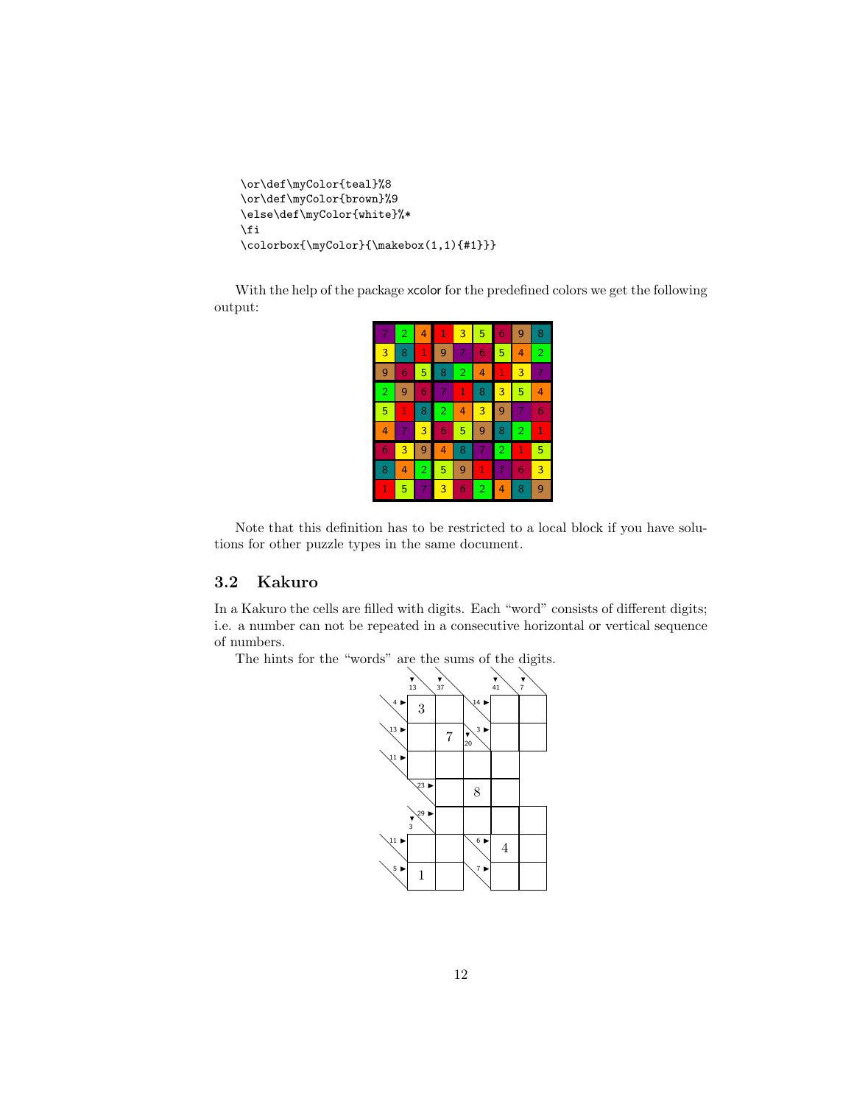```
\or\def\myColor{teal}%8
\or\def\myColor{brown}%9
\else\def\myColor{white}%*
\fi
\colorbox{\myColor}{\makebox(1,1){#1}}}
```
With the help of the package xcolor for the predefined colors we get the following output:

| 7              | $\overline{2}$ | 4              | 1              | 3              | 5              | 6              | 9 | 8              |
|----------------|----------------|----------------|----------------|----------------|----------------|----------------|---|----------------|
| 3              | 8              | 1              | 9              | 7              | 6              | 5              | 4 | $\overline{2}$ |
| 9              | 6              | 5              | 8              | $\overline{2}$ | 4              | 1              | 3 | 7              |
| $\overline{2}$ | 9              | 6              | 7              | $\mathbf 1$    | 8              | 3              | 5 | 4              |
| 5              | 1              | 8              | $\overline{2}$ | 4              | 3              | 9              | 7 | 6              |
| 4              | 7              | 3              | 6              | 5              | 9              | 8              | 2 | 1              |
| 6              | 3              | 9              | 4              | 8              | 7              | $\overline{2}$ | 1 | 5              |
| 8              | 4              | $\overline{2}$ | 5              | 9              | 1              | 7              | 6 | 3              |
| 1              | 5              | 7              | 3              | 6              | $\overline{2}$ | 4              | 8 | 9              |

Note that this definition has to be restricted to a local block if you have solutions for other puzzle types in the same document.

## 3.2 Kakuro

In a Kakuro the cells are filled with digits. Each "word" consists of different digits; i.e. a number can not be repeated in a consecutive horizontal or vertical sequence of numbers.

The hints for the "words" are the sums of the digits.

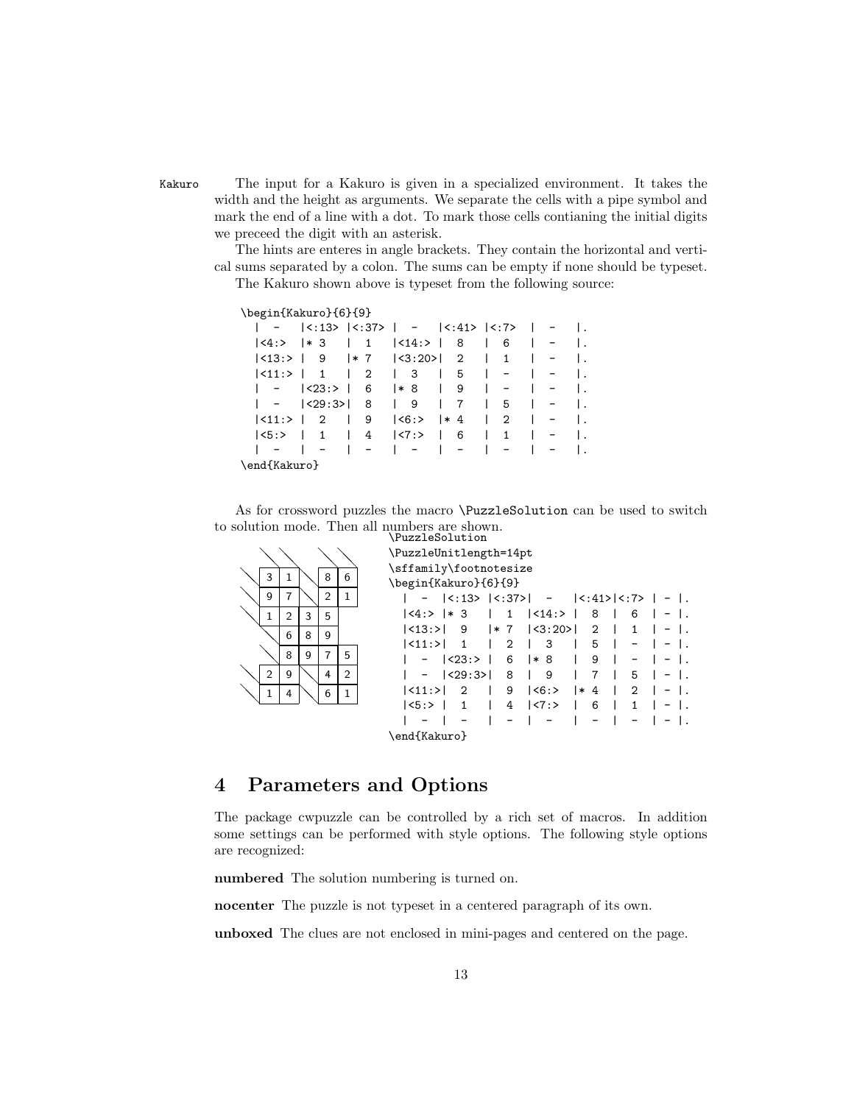Kakuro The input for a Kakuro is given in a specialized environment. It takes the width and the height as arguments. We separate the cells with a pipe symbol and mark the end of a line with a dot. To mark those cells contianing the initial digits we preceed the digit with an asterisk.

> The hints are enteres in angle brackets. They contain the horizontal and vertical sums separated by a colon. The sums can be empty if none should be typeset. The Kakuro shown above is typeset from the following source:

#### \begin{Kakuro}{6}{9}

|                              |              |                                       | $ <:13>$ $ <:37>$ $  -  <:41>$ $ <:7>$ $  -$                     |                   |                        |                             |                   |  |
|------------------------------|--------------|---------------------------------------|------------------------------------------------------------------|-------------------|------------------------|-----------------------------|-------------------|--|
| $ \langle 4: \rangle$ $ * 3$ |              |                                       | $\vert$ 1 $\vert$ <14:> $\vert$ 8                                |                   | $\mathbf{L}$<br>6      | $\mathbf{I}$                |                   |  |
|                              |              |                                       | $ \langle 13: \rangle   9   * 7   \langle 3: 20 \rangle   2   1$ |                   |                        |                             |                   |  |
| <11:>   1                    |              |                                       | $\begin{array}{c cccc}\n1 & 2 & 3\n\end{array}$                  | 5                 | $\mathbf{L}$           |                             |                   |  |
|                              | $ <23:>$   6 |                                       | $ * 8  $                                                         | 9                 | $\perp$                |                             |                   |  |
|                              |              |                                       | -   <29:3>  8   9                                                | 7<br>$\mathbf{L}$ | $\vert 5$              | $\Box$                      | $\sim$ $-$        |  |
| $ <11$ :> $ 2$               |              | $\begin{array}{ccc} \end{array}$      | $ \langle 6: \rangle$ $  * 4$ $ $                                |                   | $\mathbf{2}$           | $\frac{1}{2}$ $\frac{1}{2}$ |                   |  |
| $ 5:>$ $ $                   | 1            | $\begin{array}{cc} 1 & 4 \end{array}$ | $ <7:>$ 6                                                        |                   | $\Box$<br>$\mathbf{1}$ |                             | $\qquad \qquad -$ |  |
|                              |              | $\sim$ $-$                            |                                                                  | $\mathbf{L}$      |                        |                             |                   |  |
| \end{Kakuro}                 |              |                                       |                                                                  |                   |                        |                             |                   |  |

As for crossword puzzles the macro \PuzzleSolution can be used to switch to solution mode. Then all numbers are shown.<br>PuzzleSolution

|                |                |   |   |   | /LASST690TACTON                                                        |                                                                                   |                |        |              |        |                |              |  |  |
|----------------|----------------|---|---|---|------------------------------------------------------------------------|-----------------------------------------------------------------------------------|----------------|--------|--------------|--------|----------------|--------------|--|--|
|                |                |   |   |   | \PuzzleUnitlength=14pt                                                 |                                                                                   |                |        |              |        |                |              |  |  |
| 3              | 1              |   | 8 | 6 | \sffamily\footnotesize                                                 |                                                                                   |                |        |              |        |                |              |  |  |
|                |                |   |   |   | \begin{Kakuro}{6}{9}                                                   |                                                                                   |                |        |              |        |                |              |  |  |
| 9              | 7              |   | 2 | 1 |                                                                        | $  \langle$ :13> $ \langle$ :37> $ $ - $ \langle$ :41> $ \langle$ :7> $ $ - $ $ . |                |        |              |        |                |              |  |  |
| 1              | $\overline{2}$ | 3 | 5 |   | $ \langle 4: \rangle   * 3 \mid 1  \langle 14: \rangle  $              |                                                                                   |                |        |              |        | - 8            | $6 \mid$     |  |  |
|                | 6              | 8 | 9 |   | $ \langle 13: \rangle $ 9 $ \times 7 $ $ \langle 3: 20 \rangle $ 2   1 |                                                                                   |                |        |              |        |                |              |  |  |
|                |                |   |   |   | $ \langle 11: \rangle $ 1                                              |                                                                                   | $\overline{2}$ | $\Box$ | 3            | $\Box$ | 5              |              |  |  |
|                | 8              | 9 | 7 | 5 |                                                                        | $ <23:>$                                                                          | $6 \mid * 8$   |        |              |        | 9              |              |  |  |
| $\overline{2}$ | 9              |   | 4 | 2 |                                                                        | <29:3>                                                                            | $8 \mid 9$     |        |              |        | $\overline{7}$ | 5            |  |  |
|                | 4              |   | 6 |   | $ <11$ :> $ $                                                          | -2                                                                                | 9              |        | $ <6:>$  * 4 |        |                | $2 \mid$     |  |  |
|                |                |   |   |   | <sub>5:</sub> >                                                        |                                                                                   | 4              |        | $ 27:2$      |        | - 6            | $\mathbf{1}$ |  |  |
|                |                |   |   |   |                                                                        |                                                                                   |                |        |              |        |                |              |  |  |
|                |                |   |   |   | \end{Kakuro}                                                           |                                                                                   |                |        |              |        |                |              |  |  |

## 4 Parameters and Options

The package cwpuzzle can be controlled by a rich set of macros. In addition some settings can be performed with style options. The following style options are recognized:

numbered The solution numbering is turned on.

nocenter The puzzle is not typeset in a centered paragraph of its own.

unboxed The clues are not enclosed in mini-pages and centered on the page.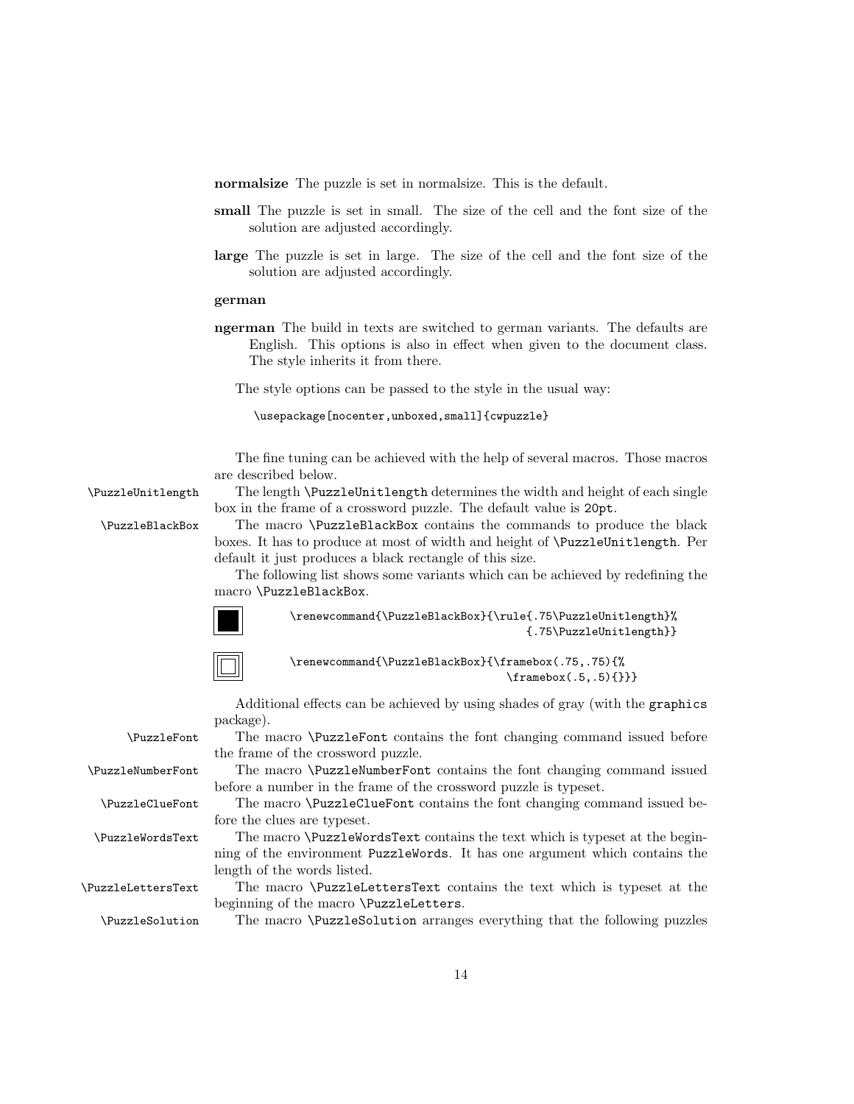normalsize The puzzle is set in normalsize. This is the default.

- small The puzzle is set in small. The size of the cell and the font size of the solution are adjusted accordingly.
- large The puzzle is set in large. The size of the cell and the font size of the solution are adjusted accordingly.

#### german

ngerman The build in texts are switched to german variants. The defaults are English. This options is also in effect when given to the document class. The style inherits it from there.

The style options can be passed to the style in the usual way:

\usepackage[nocenter,unboxed,small]{cwpuzzle}

The fine tuning can be achieved with the help of several macros. Those macros are described below.

\PuzzleUnitlength The length \PuzzleUnitlength determines the width and height of each single box in the frame of a crossword puzzle. The default value is 20pt.

\PuzzleBlackBox The macro \PuzzleBlackBox contains the commands to produce the black boxes. It has to produce at most of width and height of \PuzzleUnitlength. Per default it just produces a black rectangle of this size.

> The following list shows some variants which can be achieved by redefining the macro \PuzzleBlackBox.



\renewcommand{\PuzzleBlackBox}{\rule{.75\PuzzleUnitlength}% {.75\PuzzleUnitlength}}



\renewcommand{\PuzzleBlackBox}{\framebox(.75,.75){%  $\frac{b}{.5,.5}{}$ 

Additional effects can be achieved by using shades of gray (with the graphics

|                          | package).                                                                       |
|--------------------------|---------------------------------------------------------------------------------|
| <b>\PuzzleFont</b>       | The macro \PuzzleFont contains the font changing command issued before          |
|                          | the frame of the crossword puzzle.                                              |
| <b>\PuzzleNumberFont</b> | The macro \PuzzleNumberFont contains the font changing command issued           |
|                          | before a number in the frame of the crossword puzzle is typeset.                |
| <b>\PuzzleClueFont</b>   | The macro \PuzzleClueFont contains the font changing command issued be-         |
|                          | fore the clues are typeset.                                                     |
| <b>\PuzzleWordsText</b>  | The macro \Puzz1eWordsText contains the text which is typeset at the begin-     |
|                          | ning of the environment PuzzleWords. It has one argument which contains the     |
|                          | length of the words listed.                                                     |
| \PuzzleLettersText       | The macro <i>\PuzzleLettersText</i> contains the text which is typeset at the   |
|                          | beginning of the macro \PuzzleLetters.                                          |
| <b>PuzzleSolution</b>    | The macro <i>\PuzzleSolution</i> arranges everything that the following puzzles |
|                          |                                                                                 |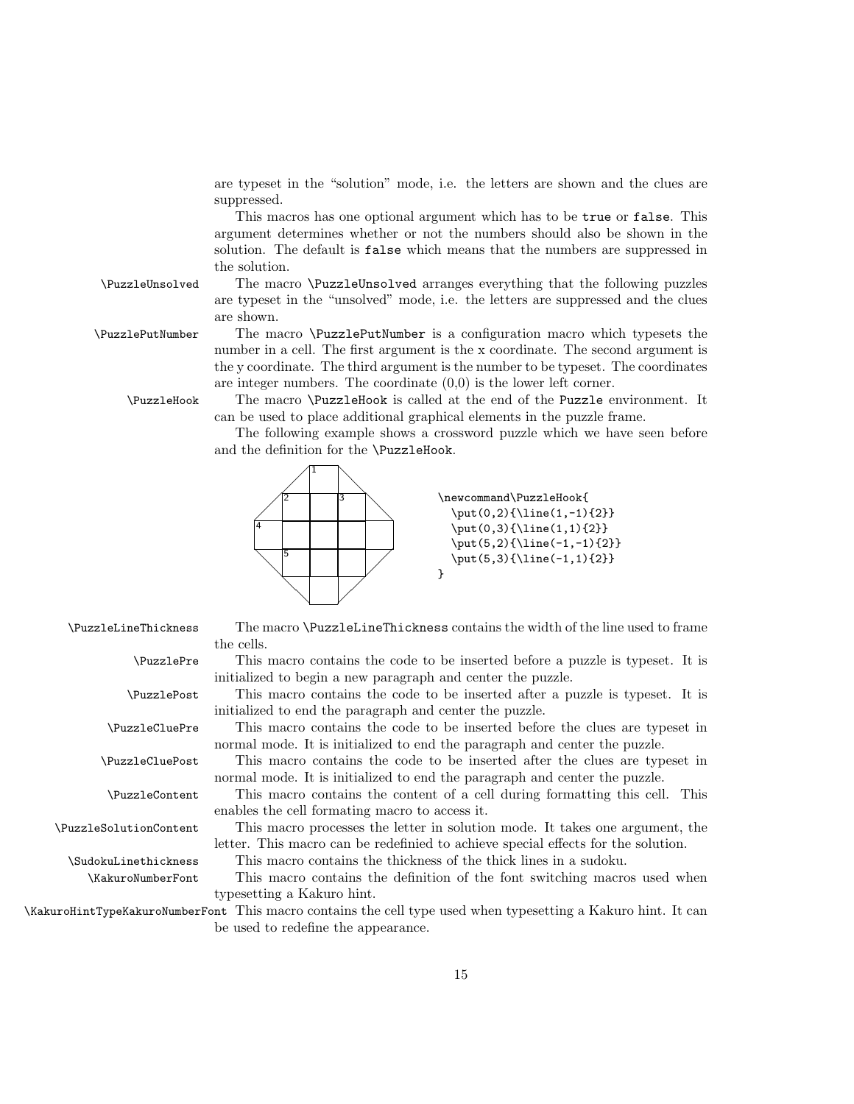are typeset in the "solution" mode, i.e. the letters are shown and the clues are suppressed.

This macros has one optional argument which has to be true or false. This argument determines whether or not the numbers should also be shown in the solution. The default is false which means that the numbers are suppressed in the solution.

\PuzzleUnsolved The macro \PuzzleUnsolved arranges everything that the following puzzles are typeset in the "unsolved" mode, i.e. the letters are suppressed and the clues are shown.

\PuzzlePutNumber The macro \PuzzlePutNumber is a configuration macro which typesets the number in a cell. The first argument is the x coordinate. The second argument is the y coordinate. The third argument is the number to be typeset. The coordinates are integer numbers. The coordinate  $(0,0)$  is the lower left corner.

\PuzzleHook The macro \PuzzleHook is called at the end of the Puzzle environment. It can be used to place additional graphical elements in the puzzle frame.

> The following example shows a crossword puzzle which we have seen before and the definition for the \PuzzleHook.



\PuzzleLineThickness The macro \PuzzleLineThickness contains the width of the line used to frame the cells.

> \PuzzlePre This macro contains the code to be inserted before a puzzle is typeset. It is initialized to begin a new paragraph and center the puzzle.

\PuzzlePost This macro contains the code to be inserted after a puzzle is typeset. It is initialized to end the paragraph and center the puzzle.

\PuzzleCluePre This macro contains the code to be inserted before the clues are typeset in normal mode. It is initialized to end the paragraph and center the puzzle.

\PuzzleCluePost This macro contains the code to be inserted after the clues are typeset in normal mode. It is initialized to end the paragraph and center the puzzle.

\PuzzleContent This macro contains the content of a cell during formatting this cell. This enables the cell formating macro to access it.

\PuzzleSolutionContent This macro processes the letter in solution mode. It takes one argument, the letter. This macro can be redefinied to achieve special effects for the solution.

\SudokuLinethickness This macro contains the thickness of the thick lines in a sudoku.

\KakuroNumberFont This macro contains the definition of the font switching macros used when typesetting a Kakuro hint.

\KakuroHintTypeKakuroNumberFont This macro contains the cell type used when typesetting a Kakuro hint. It can be used to redefine the appearance.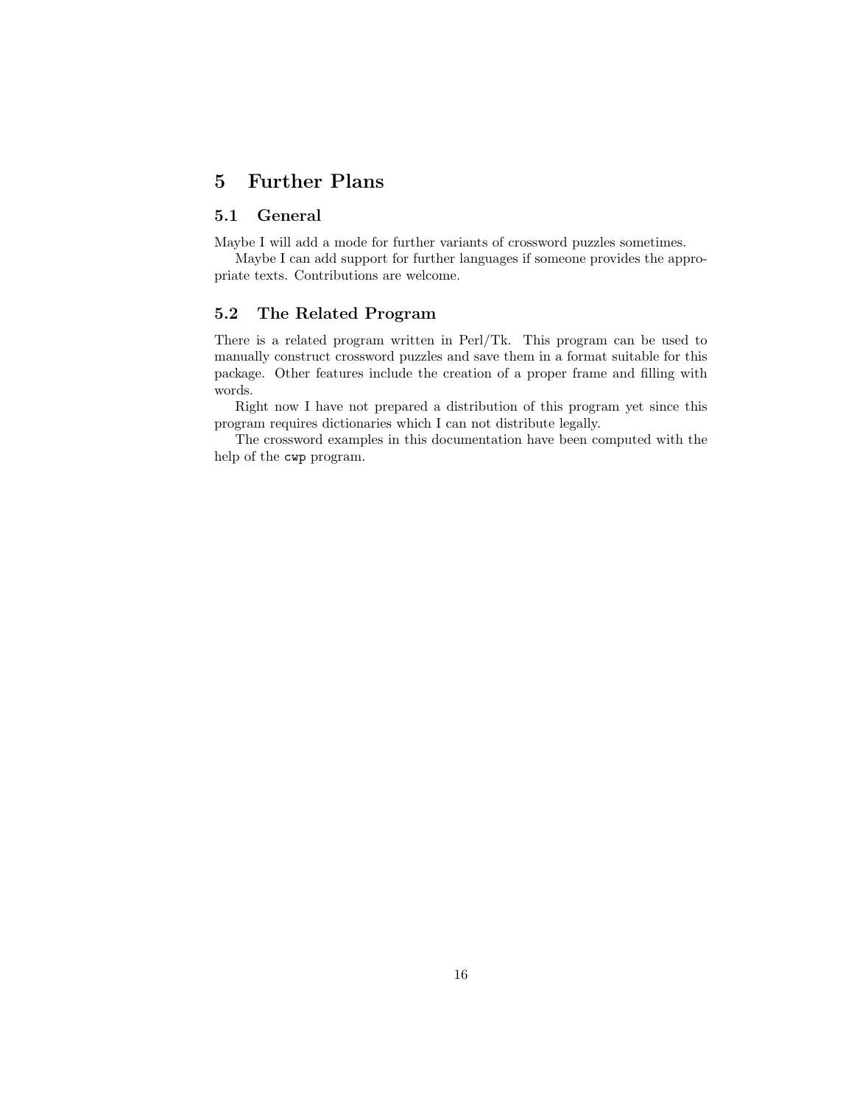## 5 Further Plans

## 5.1 General

Maybe I will add a mode for further variants of crossword puzzles sometimes.

Maybe I can add support for further languages if someone provides the appropriate texts. Contributions are welcome.

## 5.2 The Related Program

There is a related program written in Perl/Tk. This program can be used to manually construct crossword puzzles and save them in a format suitable for this package. Other features include the creation of a proper frame and filling with words.

Right now I have not prepared a distribution of this program yet since this program requires dictionaries which I can not distribute legally.

The crossword examples in this documentation have been computed with the help of the cwp program.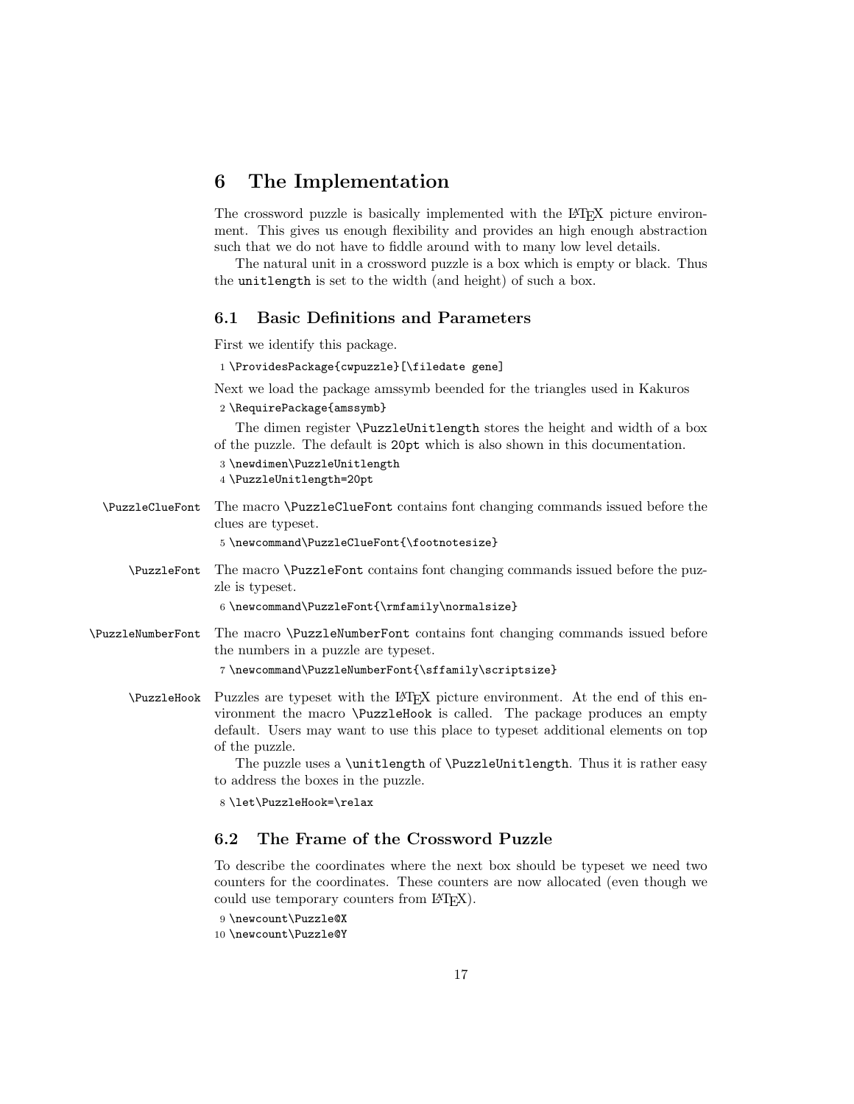## 6 The Implementation

The crossword puzzle is basically implemented with the LATEX picture environment. This gives us enough flexibility and provides an high enough abstraction such that we do not have to fiddle around with to many low level details.

The natural unit in a crossword puzzle is a box which is empty or black. Thus the unitlength is set to the width (and height) of such a box.

## 6.1 Basic Definitions and Parameters

First we identify this package.

1 \ProvidesPackage{cwpuzzle}[\filedate gene]

Next we load the package amssymb beended for the triangles used in Kakuros 2 \RequirePackage{amssymb}

The dimen register \PuzzleUnitlength stores the height and width of a box of the puzzle. The default is 20pt which is also shown in this documentation.

3 \newdimen\PuzzleUnitlength

4 \PuzzleUnitlength=20pt

\PuzzleClueFont The macro \PuzzleClueFont contains font changing commands issued before the clues are typeset.

5 \newcommand\PuzzleClueFont{\footnotesize}

\PuzzleFont The macro \PuzzleFont contains font changing commands issued before the puzzle is typeset.

6 \newcommand\PuzzleFont{\rmfamily\normalsize}

\PuzzleNumberFont The macro \PuzzleNumberFont contains font changing commands issued before the numbers in a puzzle are typeset.

7 \newcommand\PuzzleNumberFont{\sffamily\scriptsize}

\PuzzleHook Puzzles are typeset with the LATEX picture environment. At the end of this environment the macro \PuzzleHook is called. The package produces an empty default. Users may want to use this place to typeset additional elements on top of the puzzle.

> The puzzle uses a \unitlength of \PuzzleUnitlength. Thus it is rather easy to address the boxes in the puzzle.

8 \let\PuzzleHook=\relax

## 6.2 The Frame of the Crossword Puzzle

To describe the coordinates where the next box should be typeset we need two counters for the coordinates. These counters are now allocated (even though we could use temporary counters from LAT<sub>E</sub>X).

```
9 \newcount\Puzzle@X
```

```
10 \newcount\Puzzle@Y
```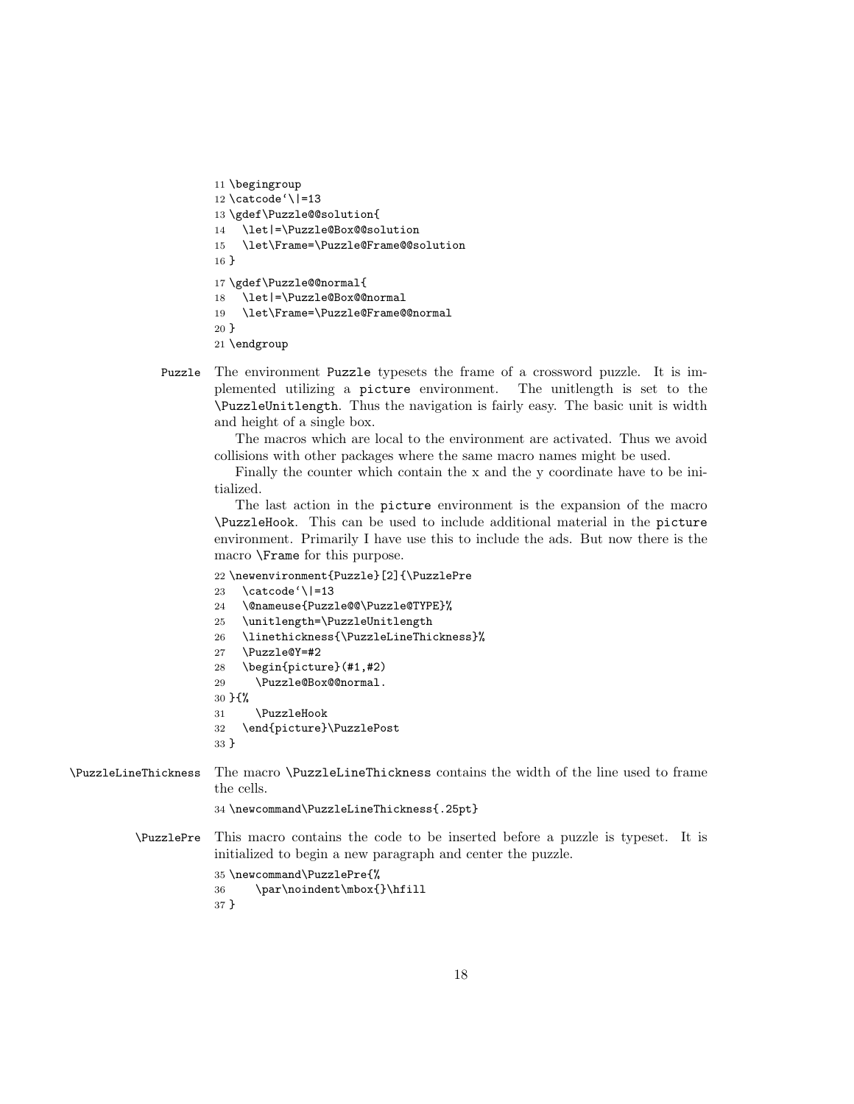```
11 \begingroup
12 \catcode'\|=13
13 \gdef\Puzzle@@solution{
14 \let|=\Puzzle@Box@@solution
15 \let\Frame=\Puzzle@Frame@@solution
16 }
17 \gdef\Puzzle@@normal{
18 \let|=\Puzzle@Box@@normal
19 \let\Frame=\Puzzle@Frame@@normal
20 }
21 \endgroup
```
Puzzle The environment Puzzle typesets the frame of a crossword puzzle. It is implemented utilizing a picture environment. The unitlength is set to the \PuzzleUnitlength. Thus the navigation is fairly easy. The basic unit is width and height of a single box.

The macros which are local to the environment are activated. Thus we avoid collisions with other packages where the same macro names might be used.

Finally the counter which contain the x and the y coordinate have to be initialized.

The last action in the picture environment is the expansion of the macro \PuzzleHook. This can be used to include additional material in the picture environment. Primarily I have use this to include the ads. But now there is the macro \Frame for this purpose.

```
22 \newenvironment{Puzzle}[2]{\PuzzlePre
                      23 \catcode'\|=13
                      24 \@nameuse{Puzzle@@\Puzzle@TYPE}%
                      25 \unitlength=\PuzzleUnitlength
                      26 \linethickness{\PuzzleLineThickness}%
                      27 \Puzzle@Y=#2
                      28 \begin{picture}(#1,#2)
                      29 \Puzzle@Box@@normal.
                      30 }{%
                      31 \PuzzleHook
                      32 \end{picture}\PuzzlePost
                      33 }
\PuzzleLineThickness The macro \PuzzleLineThickness contains the width of the line used to frame
                      the cells.
                      34 \newcommand\PuzzleLineThickness{.25pt}
         \PuzzlePre This macro contains the code to be inserted before a puzzle is typeset. It is
                      initialized to begin a new paragraph and center the puzzle.
                      35 \newcommand\PuzzlePre{%
                      36 \par\noindent\mbox{}\hfill
                      37 }
```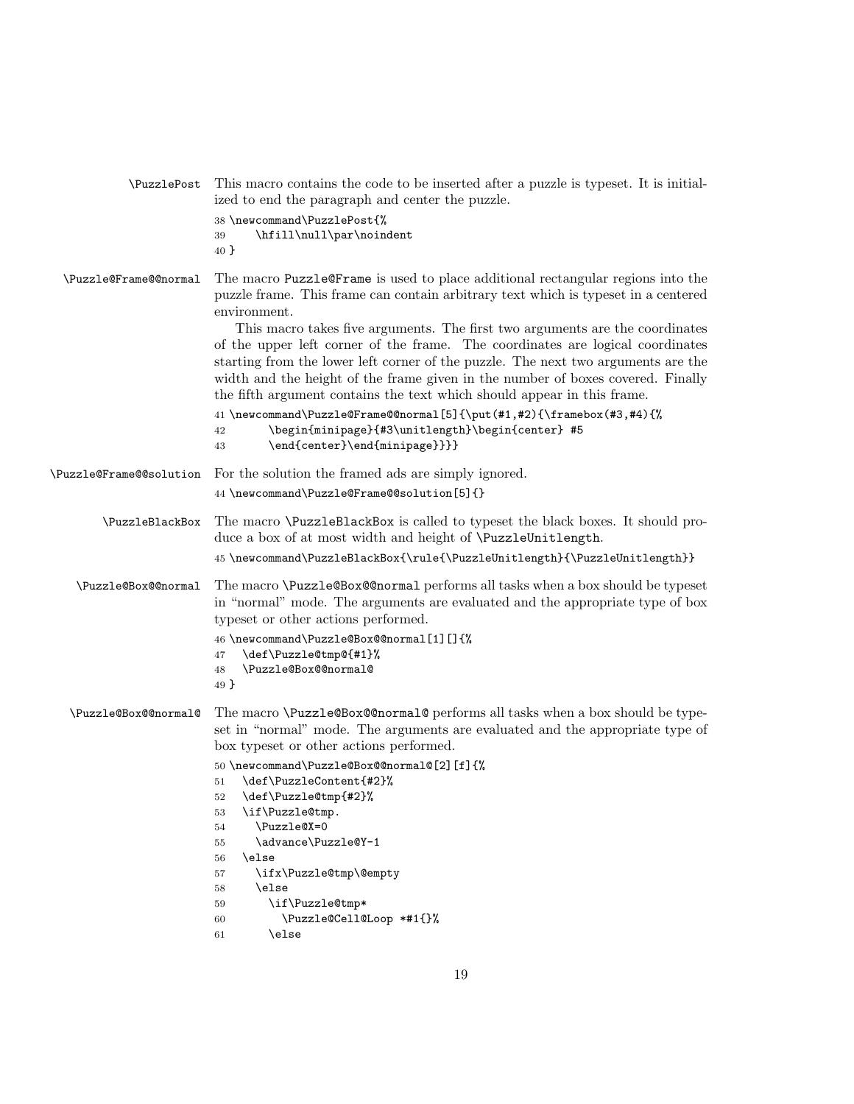| \PuzzlePost             | This macro contains the code to be inserted after a puzzle is typeset. It is initial-<br>ized to end the paragraph and center the puzzle.<br>38 \newcommand\PuzzlePost{%<br>\hfill\null\par\noindent<br>39<br>40 }                                                                                                                                                                                                                                                                                                                                                                                                                                                                                                                                                                   |
|-------------------------|--------------------------------------------------------------------------------------------------------------------------------------------------------------------------------------------------------------------------------------------------------------------------------------------------------------------------------------------------------------------------------------------------------------------------------------------------------------------------------------------------------------------------------------------------------------------------------------------------------------------------------------------------------------------------------------------------------------------------------------------------------------------------------------|
| \Puzzle@Frame@@normal   | The macro Puzzle@Frame is used to place additional rectangular regions into the<br>puzzle frame. This frame can contain arbitrary text which is typeset in a centered<br>environment.<br>This macro takes five arguments. The first two arguments are the coordinates<br>of the upper left corner of the frame. The coordinates are logical coordinates<br>starting from the lower left corner of the puzzle. The next two arguments are the<br>width and the height of the frame given in the number of boxes covered. Finally<br>the fifth argument contains the text which should appear in this frame.<br>41 \newcommand\Puzzle@Frame@@normal[5]{\put(#1,#2){\framebox(#3,#4){%<br>\begin{minipage}{#3\unitlength}\begin{center} #5<br>42<br>\end{center}\end{minipage}}}}<br>43 |
| \Puzzle@Frame@@solution | For the solution the framed ads are simply ignored.<br>44 \newcommand\Puzzle@Frame@@solution[5]{}                                                                                                                                                                                                                                                                                                                                                                                                                                                                                                                                                                                                                                                                                    |
| \PuzzleBlackBox         | The macro \PuzzleBlackBox is called to typeset the black boxes. It should pro-<br>duce a box of at most width and height of <i>\PuzzleUnitlength</i> .<br>45 \newcommand\PuzzleBlackBox{\rule{\PuzzleUnitlength}{\PuzzleUnitlength}}                                                                                                                                                                                                                                                                                                                                                                                                                                                                                                                                                 |
| \Puzzle@Box@@normal     | The macro <b>\Puzz1e@Box@@normal</b> performs all tasks when a box should be typeset<br>in "normal" mode. The arguments are evaluated and the appropriate type of box<br>typeset or other actions performed.<br>46 \newcommand\Puzzle@Box@@normal[1][]{%<br>\def\Puzzle@tmp@{#1}%<br>47<br>\Puzzle@Box@@normal@<br>48<br>49 }                                                                                                                                                                                                                                                                                                                                                                                                                                                        |
| \Puzzle@Box@@normal@    | The macro \Puzzle@Box@@normal@ performs all tasks when a box should be type-<br>set in "normal" mode. The arguments are evaluated and the appropriate type of<br>box typeset or other actions performed.<br>50 \newcommand\Puzzle@Box@@normal@[2][f]{%<br>\def\PuzzleContent{#2}%<br>51<br>\def\Puzzle@tmp{#2}%<br>52<br>\if\Puzzle@tmp.<br>53<br>\Puzzle@X=0<br>54<br>\advance\Puzzle@Y-1<br>55<br>\else<br>56<br>\ifx\Puzzle@tmp\@empty<br>57<br>\else<br>58<br>\if\Puzzle@tmp*<br>59<br>\Puzzle@Cell@Loop *#1{}%<br>60<br>\else<br>61                                                                                                                                                                                                                                             |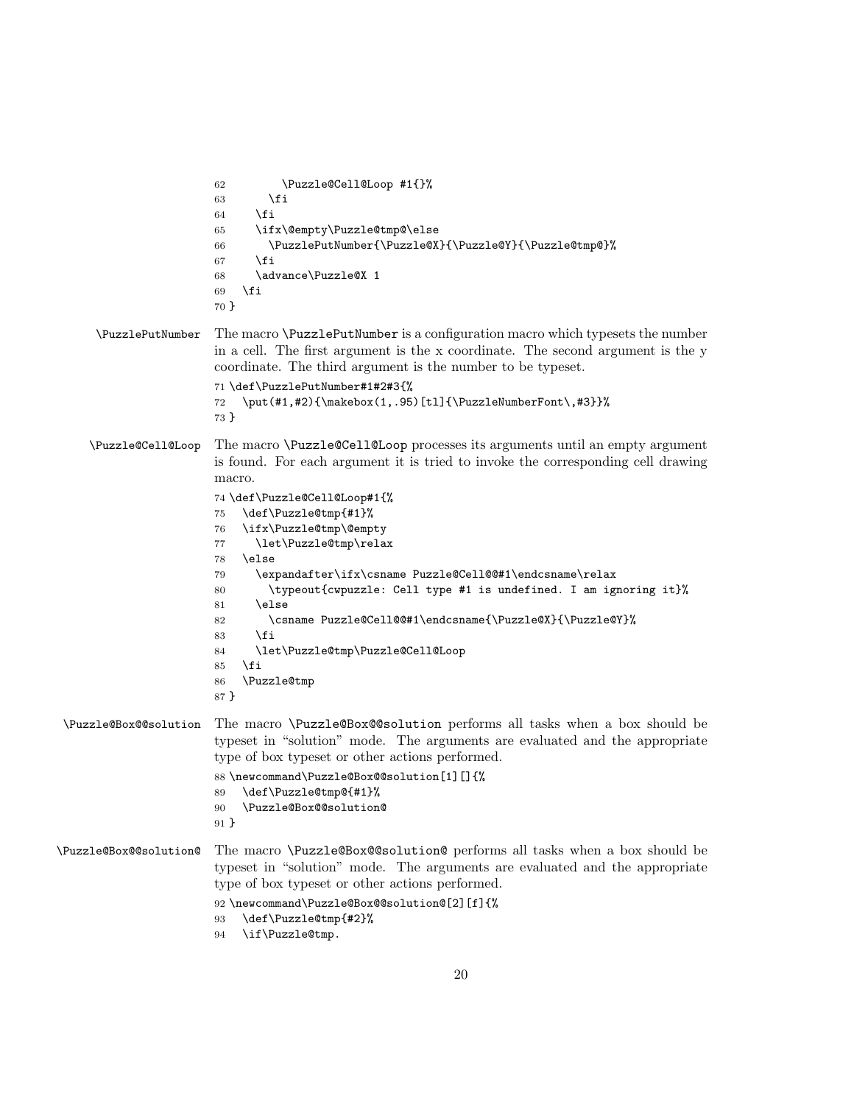```
62 \Puzzle@Cell@Loop #1{}%
                       63 \fi
                       64 \fi
                       65 \ifx\@empty\Puzzle@tmp@\else
                       66 \PuzzlePutNumber{\Puzzle@X}{\Puzzle@Y}{\Puzzle@tmp@}%
                       67 \fi
                       68 \advance\Puzzle@X 1
                       69 \fi
                       70 }
     \PuzzlePutNumber The macro \PuzzlePutNumber is a configuration macro which typesets the number
                       in a cell. The first argument is the x coordinate. The second argument is the y
                       coordinate. The third argument is the number to be typeset.
                       71 \def\PuzzlePutNumber#1#2#3{%
                       72 \put(#1,#2){\makebox(1,.95)[tl]{\PuzzleNumberFont\,#3}}%
                       73 }
    \Puzzle@Cell@Loop The macro \Puzzle@Cell@Loop processes its arguments until an empty argument
                       is found. For each argument it is tried to invoke the corresponding cell drawing
                       macro.
                       74 \def\Puzzle@Cell@Loop#1{%
                       75 \def\Puzzle@tmp{#1}%
                       76 \ifx\Puzzle@tmp\@empty
                       77 \let\Puzzle@tmp\relax
                       78 \else
                       79 \expandafter\ifx\csname Puzzle@Cell@@#1\endcsname\relax
                       80 \typeout{cwpuzzle: Cell type #1 is undefined. I am ignoring it}%
                       81 \else
                       82 \csname Puzzle@Cell@@#1\endcsname{\Puzzle@X}{\Puzzle@Y}%
                       83 \fi
                       84 \let\Puzzle@tmp\Puzzle@Cell@Loop
                       85 \fi
                       86 \Puzzle@tmp
                       87 }
\Puzzle@Box@@solution The macro \Puzzle@Box@@solution performs all tasks when a box should be
                       typeset in "solution" mode. The arguments are evaluated and the appropriate
                       type of box typeset or other actions performed.
                       88\newcommand\Puzzle@Box@@solution[1][]{%
                       89 \def\Puzzle@tmp@{#1}%
                       90 \Puzzle@Box@@solution@
                       91 }
\Puzzle@Box@@solution@ The macro \Puzzle@Box@@solution@ performs all tasks when a box should be
                       typeset in "solution" mode. The arguments are evaluated and the appropriate
                       type of box typeset or other actions performed.
                       92 \newcommand\Puzzle@Box@@solution@[2][f]{%
                       93 \def\Puzzle@tmp{#2}%
                       94 \if\Puzzle@tmp.
```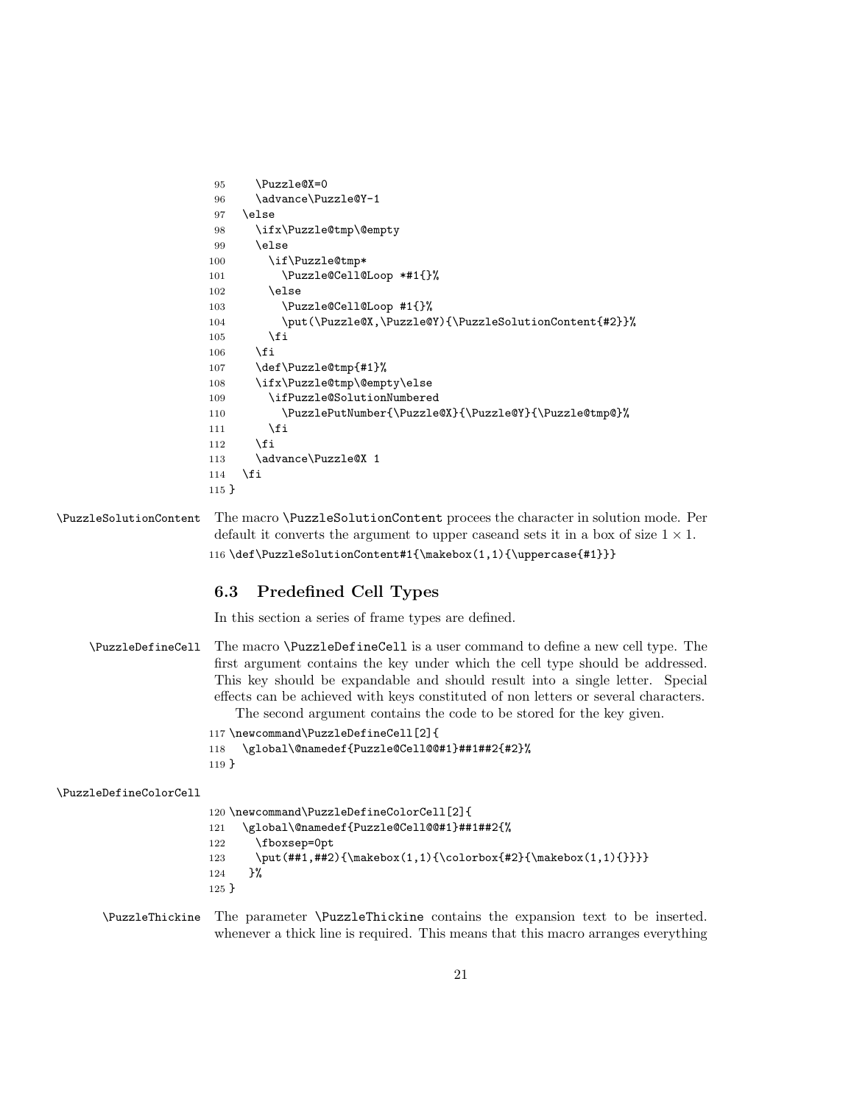```
95 \Puzzle@X=0
96 \advance\Puzzle@Y-1
97 \else
98 \ifx\Puzzle@tmp\@empty
99 \else
100 \if\Puzzle@tmp*
101 \Puzzle@Cell@Loop *#1{}%
102 \else
103 \Puzzle@Cell@Loop #1{}%
104 \put(\Puzzle@X,\Puzzle@Y){\PuzzleSolutionContent{#2}}%
105 \fi
106 \fi
107 \def\Puzzle@tmp{#1}%
108 \ifx\Puzzle@tmp\@empty\else
109 \ifPuzzle@SolutionNumbered
110 \PuzzlePutNumber{\Puzzle@X}{\Puzzle@Y}{\Puzzle@tmp@}%
111 \fi
112 \overrightarrow{fi}113 \advance\Puzzle@X 1
114 \fi
115 }
```
\PuzzleSolutionContent The macro \PuzzleSolutionContent procees the character in solution mode. Per default it converts the argument to upper caseand sets it in a box of size  $1 \times 1$ . 116 \def\PuzzleSolutionContent#1{\makebox(1,1){\uppercase{#1}}}

## 6.3 Predefined Cell Types

In this section a series of frame types are defined.

|                        | \Puzz1eDefineCell The macro \Puzz1eDefineCell is a user command to define a new cell type. The |
|------------------------|------------------------------------------------------------------------------------------------|
|                        | first argument contains the key under which the cell type should be addressed.                 |
|                        | This key should be expandable and should result into a single letter. Special                  |
|                        | effects can be achieved with keys constituted of non letters or several characters.            |
|                        | The second argument contains the code to be stored for the key given.                          |
|                        | 117 \newcommand\PuzzleDefineCell[2]{                                                           |
|                        | \global\@namedef{Puzzle@Cell@@#1}##1##2{#2}%<br>118                                            |
|                        | 119 <sup>1</sup>                                                                               |
| \PuzzleDefineColorCell |                                                                                                |
|                        | 120 \newcommand\PuzzleDefineColorCell[2]{                                                      |
|                        | \global\@namedef{Puzzle@Cell@@#1}##1##2{%<br>121                                               |
|                        | \fboxsep=0pt<br>122                                                                            |
|                        | $\put(\#41, #42){\mathbbN}(1,1){\coloneq*42}{\mathbbN}(1,1){}$<br>123                          |
|                        | }‰<br>124                                                                                      |
|                        | $125 \}$                                                                                       |

\PuzzleThickine The parameter \PuzzleThickine contains the expansion text to be inserted. whenever a thick line is required. This means that this macro arranges everything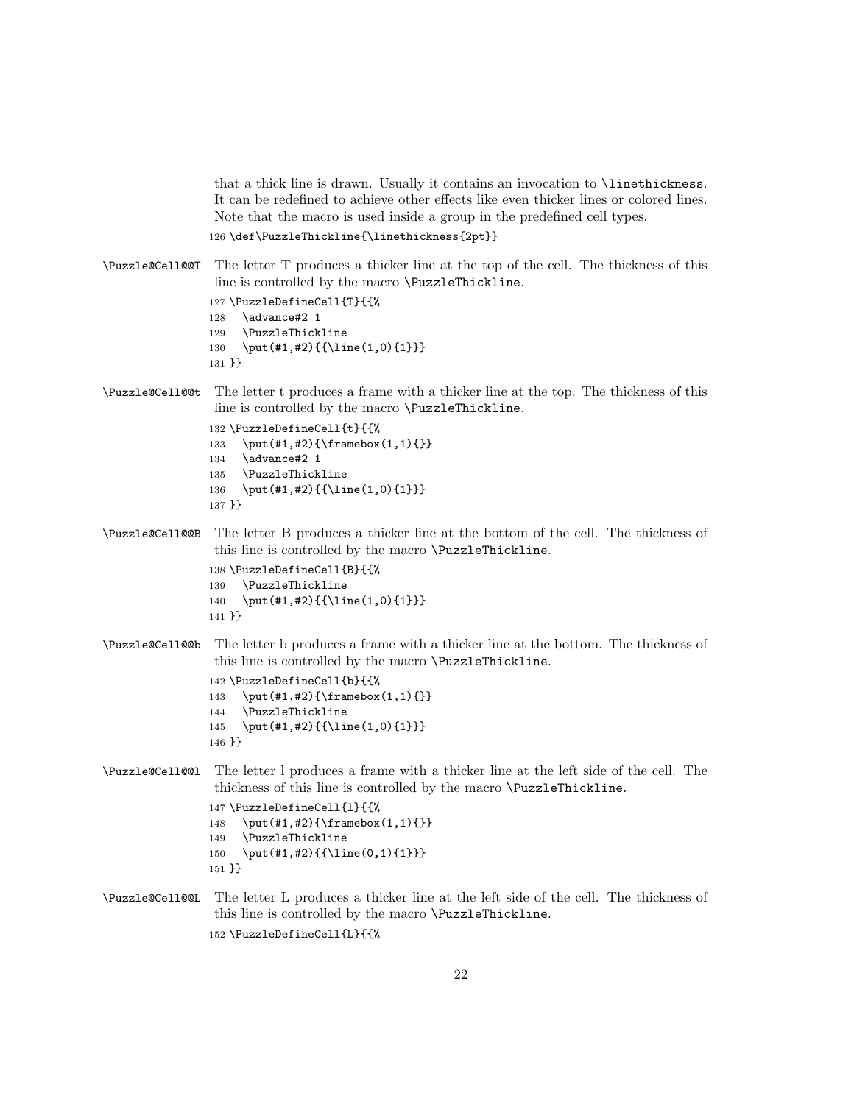that a thick line is drawn. Usually it contains an invocation to \linethickness. It can be redefined to achieve other effects like even thicker lines or colored lines. Note that the macro is used inside a group in the predefined cell types. 126 \def\PuzzleThickline{\linethickness{2pt}}

```
\Puzzle@Cell@@T The letter T produces a thicker line at the top of the cell. The thickness of this
                 line is controlled by the macro \PuzzleThickline.
```

```
127 \PuzzleDefineCell{T}{{%
128 \advance#2 1
129 \PuzzleThickline
130 \put(#1,#2){{\line(1,0){1}}}
131 }}
```
\Puzzle@Cell@@t The letter t produces a frame with a thicker line at the top. The thickness of this line is controlled by the macro \PuzzleThickline.

```
132 \PuzzleDefineCell{t}{{%
133 \put(#1,#2){\framebox(1,1){}}
134 \advance#2 1
135 \PuzzleThickline
136 \put(#1,#2){{\line(1,0){1}}}
137 }}
```
\Puzzle@Cell@@B The letter B produces a thicker line at the bottom of the cell. The thickness of this line is controlled by the macro \PuzzleThickline.

```
138 \PuzzleDefineCell{B}{{%
139 \PuzzleThickline
140 \put(#1,#2){{\line(1,0){1}}}
141 }}
```
\Puzzle@Cell@@b The letter b produces a frame with a thicker line at the bottom. The thickness of this line is controlled by the macro \PuzzleThickline.

```
142 \PuzzleDefineCell{b}{{%
143 \put(#1,#2){\framebox(1,1){}}
144 \PuzzleThickline
145 \put(#1,#2){{\line(1,0){1}}}
146 }}
```
\Puzzle@Cell@@l The letter l produces a frame with a thicker line at the left side of the cell. The thickness of this line is controlled by the macro \PuzzleThickline.

```
147 \PuzzleDefineCell{l}{{%
148 \put(#1,#2){\framebox(1,1){}}
149 \PuzzleThickline
150 \put(#1,#2){{\line(0,1){1}}}
151 }}
```
\Puzzle@Cell@@L The letter L produces a thicker line at the left side of the cell. The thickness of this line is controlled by the macro \PuzzleThickline. 152 \PuzzleDefineCell{L}{{%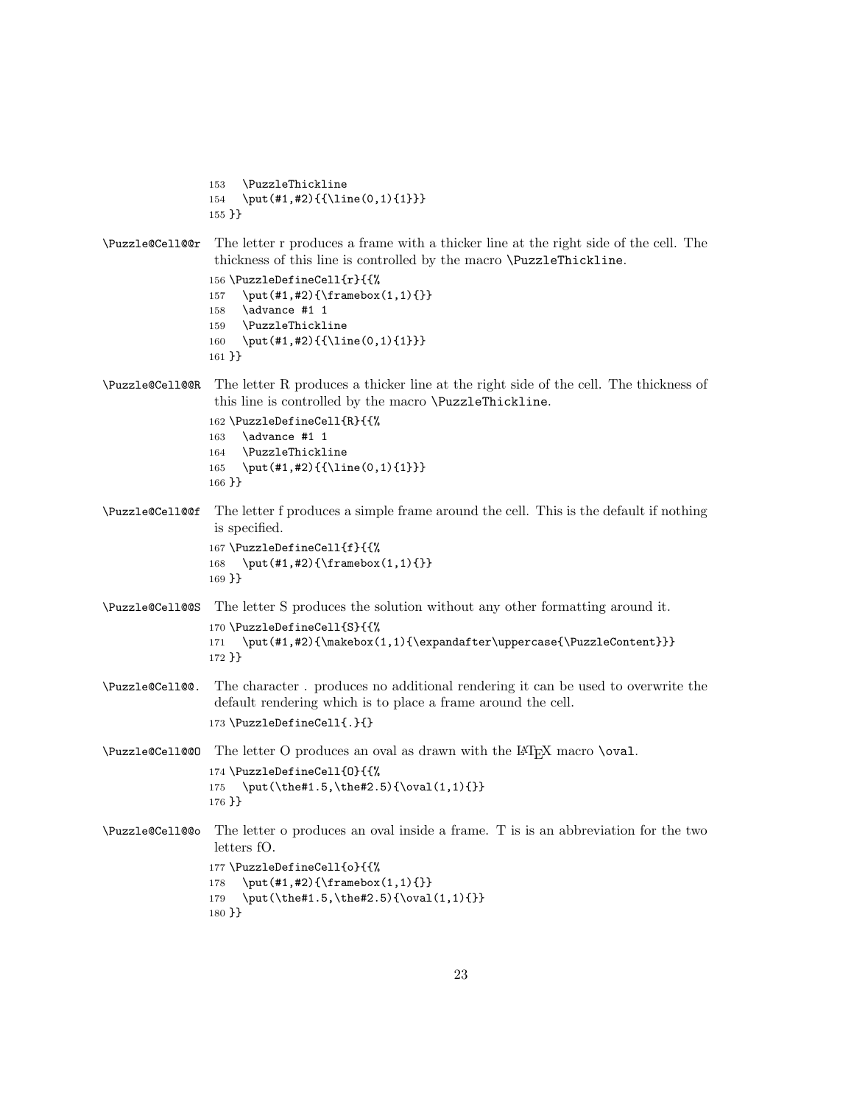```
153 \PuzzleThickline
                154 \put(#1,#2){{\line(0,1){1}}}
                155 }}
\Puzzle@Cell@@r The letter r produces a frame with a thicker line at the right side of the cell. The
                 thickness of this line is controlled by the macro \PuzzleThickline.
                 156 \PuzzleDefineCell{r}{{%
                157 \put(#1,#2){\framebox(1,1){}}
                158 \advance #1 1
                159 \PuzzleThickline
                160 \put(#1,#2){{\line(0,1){1}}}
                161 }}
\Puzzle@Cell@@R The letter R produces a thicker line at the right side of the cell. The thickness of
                 this line is controlled by the macro \PuzzleThickline.
                162 \PuzzleDefineCell{R}{{%
                163 \advance #1 1
                164 \PuzzleThickline
                165 \put(#1,#2){{\line(0,1){1}}}
                166 }}
\Puzzle@Cell@@f The letter f produces a simple frame around the cell. This is the default if nothing
                 is specified.
                 167 \PuzzleDefineCell{f}{{%
                168 \put(#1,#2){\framebox(1,1){}}
                169 }}
\Puzzle@Cell@@S The letter S produces the solution without any other formatting around it.
                 170 \PuzzleDefineCell{S}{{%
                171 \put(#1,#2){\makebox(1,1){\expandafter\uppercase{\PuzzleContent}}}
                172 }}
\Puzzle@Cell@@. The character . produces no additional rendering it can be used to overwrite the
                 default rendering which is to place a frame around the cell.
                 173 \PuzzleDefineCell{.}{}
\Psi /Puzzle@Cell@@O The letter O produces an oval as drawn with the L<sup>AT</sup>EX macro \oval.
                174 \PuzzleDefineCell{O}{{%
                175 \put(\the#1.5,\the#2.5){\oval(1,1){}}
                176 }}
\Puzzle@Cell@@o The letter o produces an oval inside a frame. T is is an abbreviation for the two
                 letters fO.
                177 \PuzzleDefineCell{o}{{%
                 178 \put(#1,#2){\framebox(1,1){}}
                 179 \put(\the#1.5,\the#2.5){\oval(1,1){}}
                180 }}
```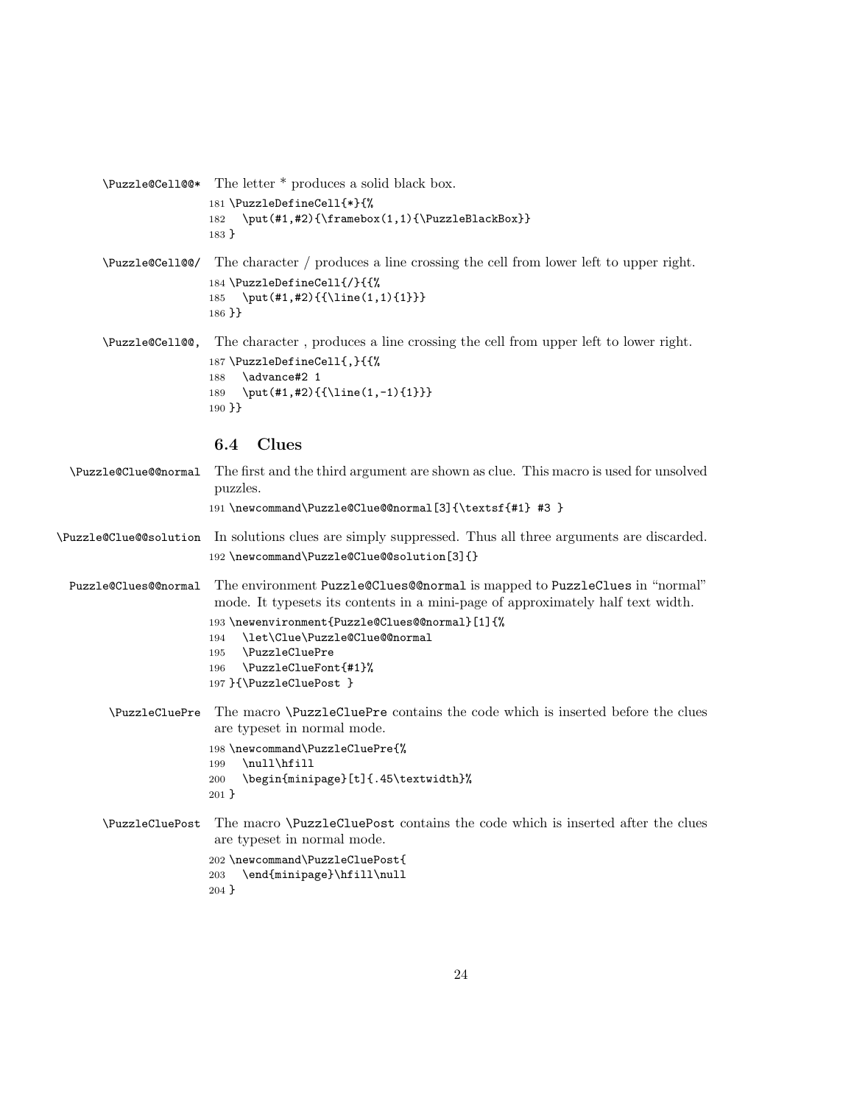```
\Puzzle@Cell@@* The letter * produces a solid black box.
                181 \PuzzleDefineCell{*}{%
                182 \put(#1,#2){\framebox(1,1){\PuzzleBlackBox}}
                183 }
```
\Puzzle@Cell@@/ The character / produces a line crossing the cell from lower left to upper right. 184 \PuzzleDefineCell{/}{{% 185 \put(#1,#2){{\line(1,1){1}}} 186 }}

\Puzzle@Cell@@, The character , produces a line crossing the cell from upper left to lower right. 187 \PuzzleDefineCell{,}{{% 188 \advance#2 1 189 \put(#1,#2){{\line(1,-1){1}}} 190 }}

## 6.4 Clues

| \Puzzle@Clue@@normal   | The first and the third argument are shown as clue. This macro is used for unsolved<br>puzzles.                                                                                                                                                                                                                                            |
|------------------------|--------------------------------------------------------------------------------------------------------------------------------------------------------------------------------------------------------------------------------------------------------------------------------------------------------------------------------------------|
|                        | 191 \newcommand\Puzzle@Clue@@normal[3]{\textsf{#1} #3 }                                                                                                                                                                                                                                                                                    |
| \Puzzle@Clue@@solution | In solutions clues are simply suppressed. Thus all three arguments are discarded.<br>192 \newcommand\Puzzle@Clue@@solution[3]{}                                                                                                                                                                                                            |
| Puzzle@Clues@@normal   | The environment Puzzle @Clues@@normal is mapped to PuzzleClues in "normal"<br>mode. It typesets its contents in a mini-page of approximately half text width.<br>193 \newenvironment{Puzzle@Clues@@normal}[1]{%<br>\let\Clue\Puzzle@Clue@@normal<br>194<br>\PuzzleCluePre<br>195<br>\PuzzleClueFont{#1}%<br>196<br>197 }{\PuzzleCluePost } |
| \PuzzleCluePre         | The macro <b>\PuzzleCluePre</b> contains the code which is inserted before the clues<br>are typeset in normal mode.<br>198 \newcommand\PuzzleCluePre{%<br>\null\hfill<br>199<br>\begin{minipage}[t]{.45\textwidth}%<br>200<br>$201$ }                                                                                                      |
| \PuzzleCluePost        | The macro <b>\PuzzleCluePost</b> contains the code which is inserted after the clues<br>are typeset in normal mode.<br>202 \newcommand\PuzzleCluePost{<br>\end{minipage}\hfill\null<br>203<br>$204$ }                                                                                                                                      |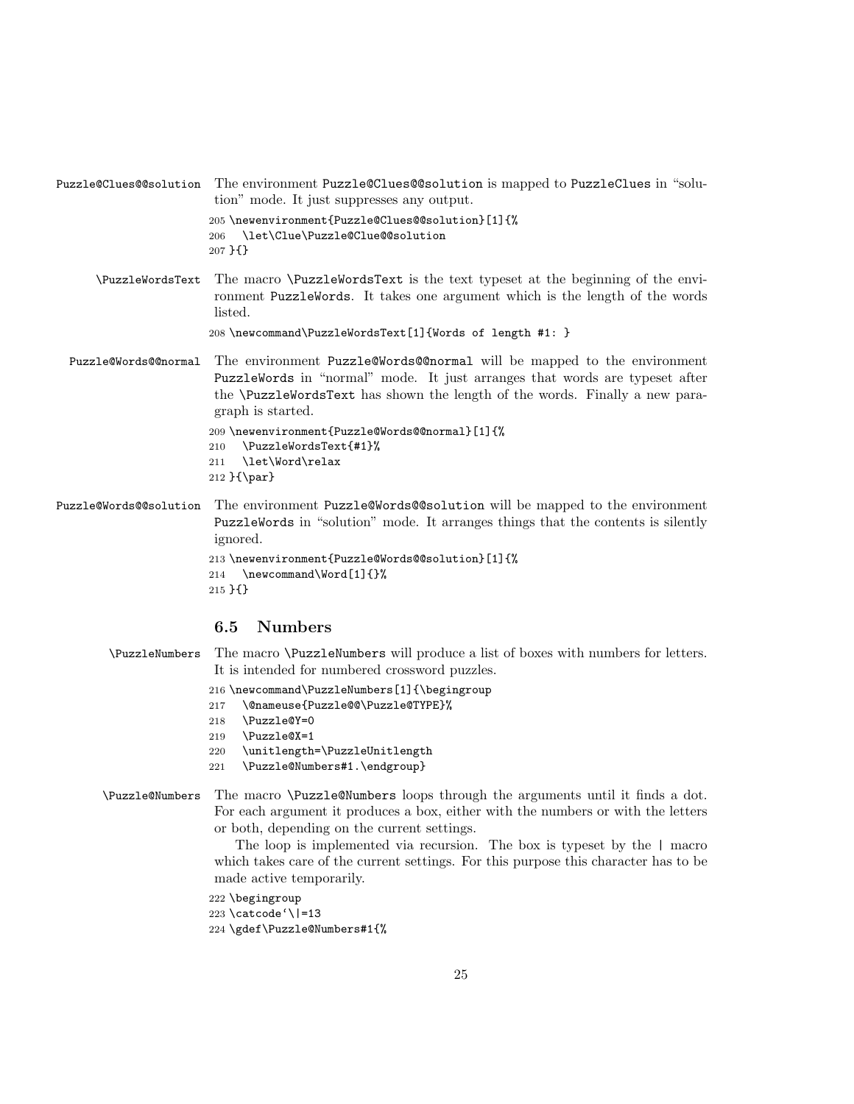Puzzle@Clues@@solution The environment Puzzle@Clues@@solution is mapped to PuzzleClues in "solution" mode. It just suppresses any output. 205 \newenvironment{Puzzle@Clues@@solution}[1]{% 206 \let\Clue\Puzzle@Clue@@solution 207 }{}

\PuzzleWordsText The macro \PuzzleWordsText is the text typeset at the beginning of the environment PuzzleWords. It takes one argument which is the length of the words listed.

```
208 \newcommand\PuzzleWordsText[1]{Words of length #1: }
```
Puzzle@Words@@normal The environment Puzzle@Words@@normal will be mapped to the environment PuzzleWords in "normal" mode. It just arranges that words are typeset after the \PuzzleWordsText has shown the length of the words. Finally a new paragraph is started.

```
209 \newenvironment{Puzzle@Words@@normal}[1]{%
210 \PuzzleWordsText{#1}%
211 \let\Word\relax
212 }{\par}
```
Puzzle@Words@@solution The environment Puzzle@Words@@solution will be mapped to the environment PuzzleWords in "solution" mode. It arranges things that the contents is silently ignored.

```
213 \newenvironment{Puzzle@Words@@solution}[1]{%
214 \newcommand\Word[1]{}%
215 }{}
```
## 6.5 Numbers

| <b>\PuzzleNumbers</b> | The macro <b>\PuzzleNumbers</b> will produce a list of boxes with numbers for letters.<br>It is intended for numbered crossword puzzles.                                                                                                                                                                                                                                                                      |  |  |  |  |  |
|-----------------------|---------------------------------------------------------------------------------------------------------------------------------------------------------------------------------------------------------------------------------------------------------------------------------------------------------------------------------------------------------------------------------------------------------------|--|--|--|--|--|
|                       | 216 \newcommand\PuzzleNumbers[1]{\begingroup<br>\@nameuse{Puzzle@@\Puzzle@TYPE}%<br>217<br>\Puzzle@Y=0<br>218<br>\Puzzle@X=1<br>219<br>\unitlength=\PuzzleUnitlength<br>220<br>\Puzzle@Numbers#1.\endgroup}<br>221                                                                                                                                                                                            |  |  |  |  |  |
| \Puzzle@Numbers       | The macro \Puzzle@Numbers loops through the arguments until it finds a dot.<br>For each argument it produces a box, either with the numbers or with the letters<br>or both, depending on the current settings.<br>The loop is implemented via recursion. The box is typeset by the   macro<br>which takes care of the current settings. For this purpose this character has to be<br>made active temporarily. |  |  |  |  |  |

222 \begingroup 223 \catcode'\|=13 224 \gdef\Puzzle@Numbers#1{%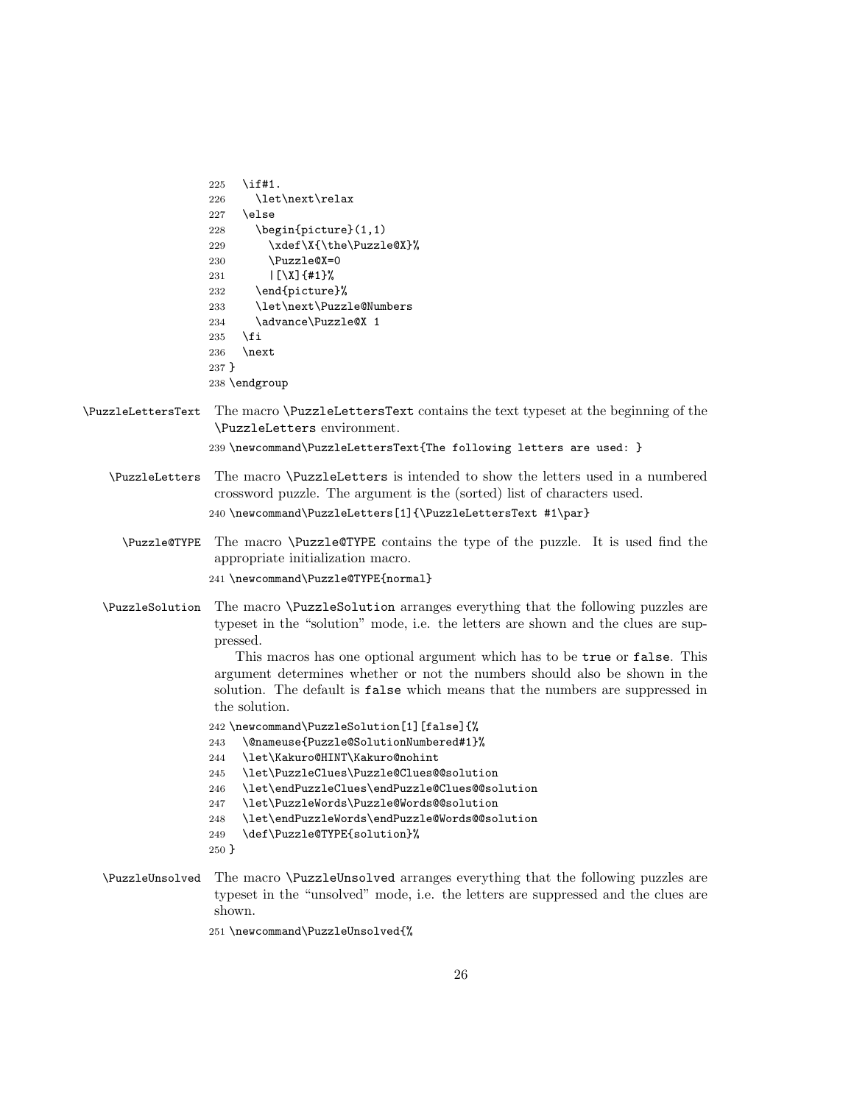| 225     | \if#1.                                    |
|---------|-------------------------------------------|
| 226     | \let\next\relax                           |
| 227     | \else                                     |
| 228     | $\begin{bmatrix}$ \begin{picture} $(1,1)$ |
| 229     | \xdef\X{\the\Puzzle@X}%                   |
| 230     | \Puzzle@X=0                               |
| 231     |                                           |
| 232     | \end{picture}%                            |
| 233     | \let\next\Puzzle@Numbers                  |
| 234     | \advance\Puzzle@X 1                       |
| 235     | \fi                                       |
| 236     | \next                                     |
| $237$ } |                                           |
|         | 238 \endgroup                             |

\PuzzleLettersText The macro \PuzzleLettersText contains the text typeset at the beginning of the \PuzzleLetters environment.

239 \newcommand\PuzzleLettersText{The following letters are used: }

\PuzzleLetters The macro \PuzzleLetters is intended to show the letters used in a numbered crossword puzzle. The argument is the (sorted) list of characters used.

240 \newcommand\PuzzleLetters[1]{\PuzzleLettersText #1\par}

\Puzzle@TYPE The macro \Puzzle@TYPE contains the type of the puzzle. It is used find the appropriate initialization macro.

241 \newcommand\Puzzle@TYPE{normal}

\PuzzleSolution The macro \PuzzleSolution arranges everything that the following puzzles are typeset in the "solution" mode, i.e. the letters are shown and the clues are suppressed.

> This macros has one optional argument which has to be true or false. This argument determines whether or not the numbers should also be shown in the solution. The default is false which means that the numbers are suppressed in the solution.

- 242 \newcommand\PuzzleSolution[1][false]{%
- 243 \@nameuse{Puzzle@SolutionNumbered#1}%
- 244 \let\Kakuro@HINT\Kakuro@nohint
- 245 \let\PuzzleClues\Puzzle@Clues@@solution
- 246 \let\endPuzzleClues\endPuzzle@Clues@@solution
- 247 \let\PuzzleWords\Puzzle@Words@@solution
- 248 \let\endPuzzleWords\endPuzzle@Words@@solution
- 249 \def\Puzzle@TYPE{solution}%
- 250 }
- \PuzzleUnsolved The macro \PuzzleUnsolved arranges everything that the following puzzles are typeset in the "unsolved" mode, i.e. the letters are suppressed and the clues are shown.

251 \newcommand\PuzzleUnsolved{%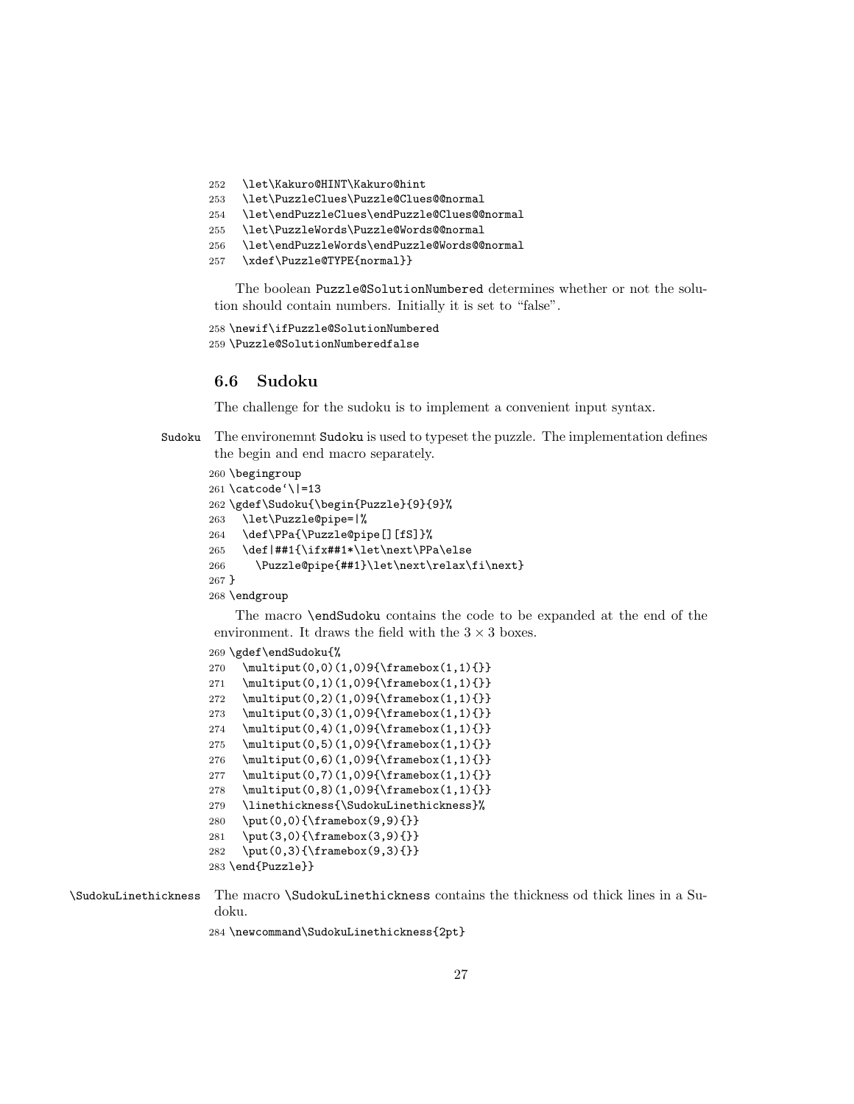- \let\Kakuro@HINT\Kakuro@hint
- \let\PuzzleClues\Puzzle@Clues@@normal
- \let\endPuzzleClues\endPuzzle@Clues@@normal
- \let\PuzzleWords\Puzzle@Words@@normal
- \let\endPuzzleWords\endPuzzle@Words@@normal
- \xdef\Puzzle@TYPE{normal}}

The boolean Puzzle@SolutionNumbered determines whether or not the solution should contain numbers. Initially it is set to "false".

```
258 \newif\ifPuzzle@SolutionNumbered
259 \Puzzle@SolutionNumberedfalse
```
#### 6.6 Sudoku

The challenge for the sudoku is to implement a convenient input syntax.

Sudoku The environemnt Sudoku is used to typeset the puzzle. The implementation defines the begin and end macro separately.

```
260 \begingroup
261 \catcode'\|=13
262 \gdef\Sudoku{\begin{Puzzle}{9}{9}%
263 \let\Puzzle@pipe=|%
264 \def\PPa{\Puzzle@pipe[][fS]}%
265 \def|##1{\ifx##1*\let\next\PPa\else
266 \Puzzle@pipe{##1}\let\next\relax\fi\next}
267 }
268 \endgroup
```
The macro \endSudoku contains the code to be expanded at the end of the environment. It draws the field with the  $3 \times 3$  boxes.

```
269 \gdef\endSudoku{%
270 \multiput(0,0)(1,0)9{\framebox(1,1){}}
271 \multiput(0,1)(1,0)9{\framebox(1,1){}}
272 \multiput(0,2)(1,0)9{\framebox(1,1){}}
273 \multiput(0,3)(1,0)9{\framebox(1,1){}}
274 \multiput(0,4)(1,0)9{\framebox(1,1){}}
275 \multiput(0,5)(1,0)9{\framebox(1,1){}}
276 \multiput(0,6)(1,0)9{\framebox(1,1){}}
277 \multiput(0,7)(1,0)9{\framebox(1,1){}}
278 \multiput(0,8)(1,0)9{\framebox(1,1){}}
279 \linethickness{\SudokuLinethickness}%
280 \put(0,0){\framebox(9,9){}}
281 \put(3,0){\frac{\frac{3,9}{}}{}282 \put(0,3){\framebox(9,3){}}
283 \end{Puzzle}}
```
\SudokuLinethickness The macro \SudokuLinethickness contains the thickness od thick lines in a Sudoku.

\newcommand\SudokuLinethickness{2pt}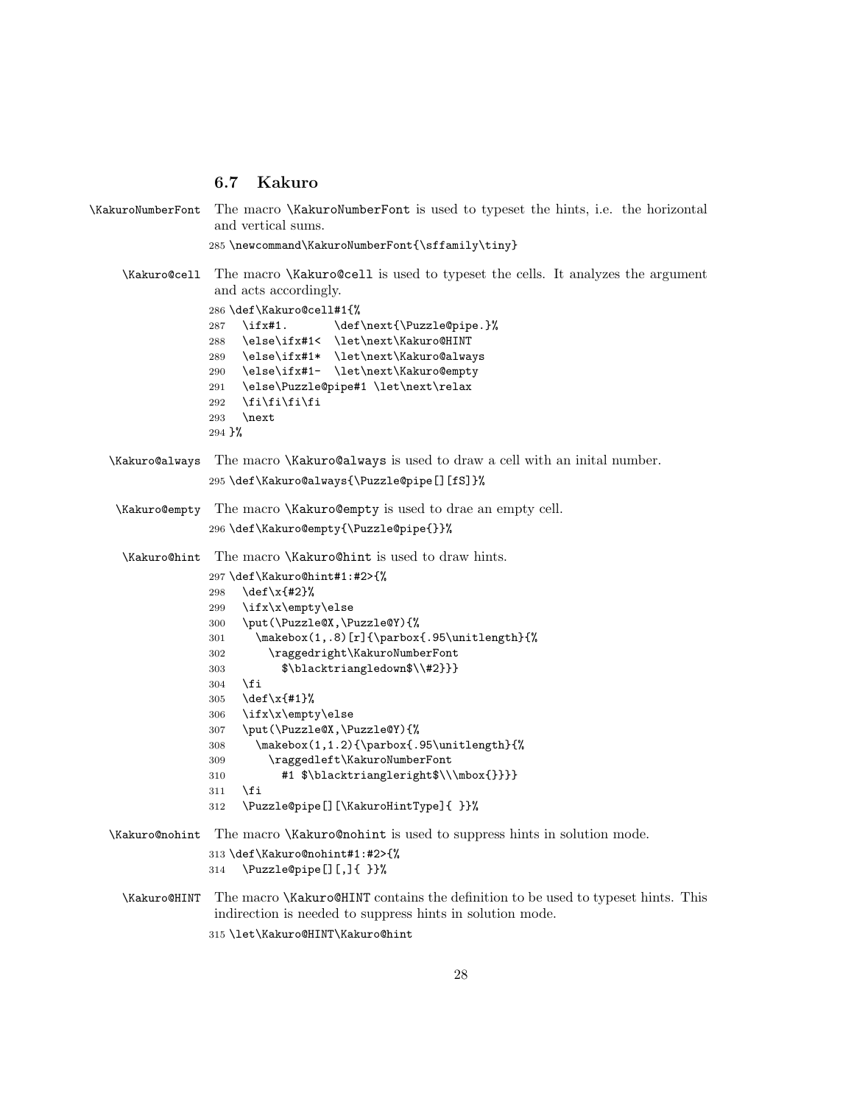## 6.7 Kakuro

\KakuroNumberFont The macro \KakuroNumberFont is used to typeset the hints, i.e. the horizontal and vertical sums.

```
285 \newcommand\KakuroNumberFont{\sffamily\tiny}
```
\Kakuro@cell The macro \Kakuro@cell is used to typeset the cells. It analyzes the argument and acts accordingly.

> \def\Kakuro@cell#1{% 287 \ifx#1. \def\next{\Puzzle@pipe.}% \else\ifx#1< \let\next\Kakuro@HINT \else\ifx#1\* \let\next\Kakuro@always \else\ifx#1- \let\next\Kakuro@empty \else\Puzzle@pipe#1 \let\next\relax \fi\fi\fi\fi \next }%

- \Kakuro@always The macro \Kakuro@always is used to draw a cell with an inital number. \def\Kakuro@always{\Puzzle@pipe[][fS]}%
- \Kakuro@empty The macro \Kakuro@empty is used to drae an empty cell. \def\Kakuro@empty{\Puzzle@pipe{}}%

\Kakuro@hint The macro \Kakuro@hint is used to draw hints.

```
297 \def\Kakuro@hint#1:#2>{%
298 \def\x{#2}%
299 \ifx\x\empty\else
300 \put(\Puzzle@X,\Puzzle@Y){%
301 \makebox(1,.8)[r]{\parbox{.95\unitlength}{%
302 \raggedright\KakuroNumberFont
303 $\blacktriangledown$\\#2}}}
304 \fi
305 \def\x{#1}%
306 \ifx\x\empty\else
307 \put(\Puzzle@X,\Puzzle@Y){%
308 \makebox(1,1.2){\parbox{.95\unitlength}{%
309 \raggedleft\KakuroNumberFont
310 #1 $\blacktriangleright$\\\mbox{}}}}
311 \fi
312 \Puzzle@pipe[][\KakuroHintType]{ }}%
```
\Kakuro@nohint The macro \Kakuro@nohint is used to suppress hints in solution mode. \def\Kakuro@nohint#1:#2>{% \Puzzle@pipe[][,]{ }}%

\Kakuro@HINT The macro \Kakuro@HINT contains the definition to be used to typeset hints. This indirection is needed to suppress hints in solution mode. \let\Kakuro@HINT\Kakuro@hint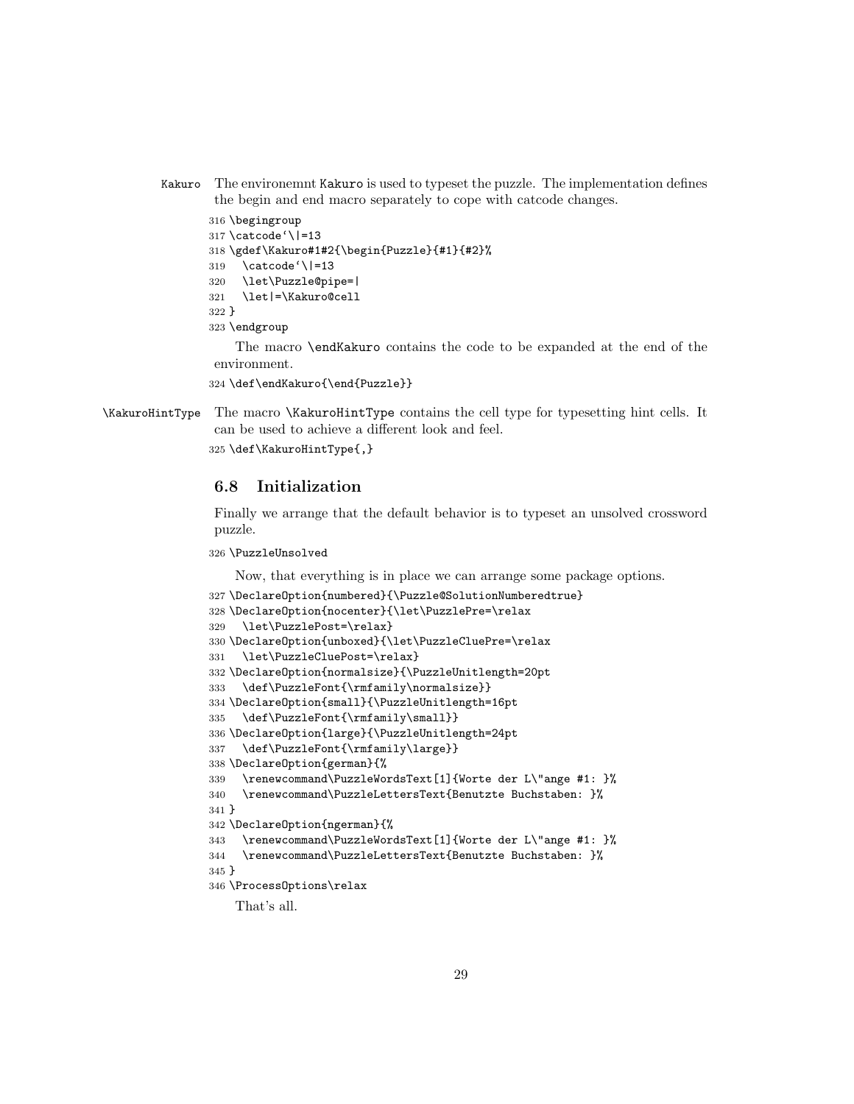Kakuro The environemnt Kakuro is used to typeset the puzzle. The implementation defines the begin and end macro separately to cope with catcode changes.

```
316 \begingroup
317 \catcode'\|=13
318 \gdef\Kakuro#1#2{\begin{Puzzle}{#1}{#2}%
319 \catcode'\|=13
320 \let\Puzzle@pipe=|
321 \let|=\Kakuro@cell
322 }
323 \endgroup
```
The macro \endKakuro contains the code to be expanded at the end of the environment.

```
324 \def\endKakuro{\end{Puzzle}}
```
\KakuroHintType The macro \KakuroHintType contains the cell type for typesetting hint cells. It can be used to achieve a different look and feel.

```
325 \def\KakuroHintType{,}
```
## 6.8 Initialization

Finally we arrange that the default behavior is to typeset an unsolved crossword puzzle.

#### \PuzzleUnsolved

Now, that everything is in place we can arrange some package options.

```
327 \DeclareOption{numbered}{\Puzzle@SolutionNumberedtrue}
328 \DeclareOption{nocenter}{\let\PuzzlePre=\relax
329 \let\PuzzlePost=\relax}
330 \DeclareOption{unboxed}{\let\PuzzleCluePre=\relax
331 \let\PuzzleCluePost=\relax}
332 \DeclareOption{normalsize}{\PuzzleUnitlength=20pt
333 \def\PuzzleFont{\rmfamily\normalsize}}
334 \DeclareOption{small}{\PuzzleUnitlength=16pt
335 \def\PuzzleFont{\rmfamily\small}}
336 \DeclareOption{large}{\PuzzleUnitlength=24pt
337 \def\PuzzleFont{\rmfamily\large}}
338 \DeclareOption{german}{%
339 \renewcommand\PuzzleWordsText[1]{Worte der L\"ange #1: }%
340 \renewcommand\PuzzleLettersText{Benutzte Buchstaben: }%
341 }
342 \DeclareOption{ngerman}{%
343 \renewcommand\PuzzleWordsText[1]{Worte der L\"ange #1: }%
344 \renewcommand\PuzzleLettersText{Benutzte Buchstaben: }%
345 }
346 \ProcessOptions\relax
    That's all.
```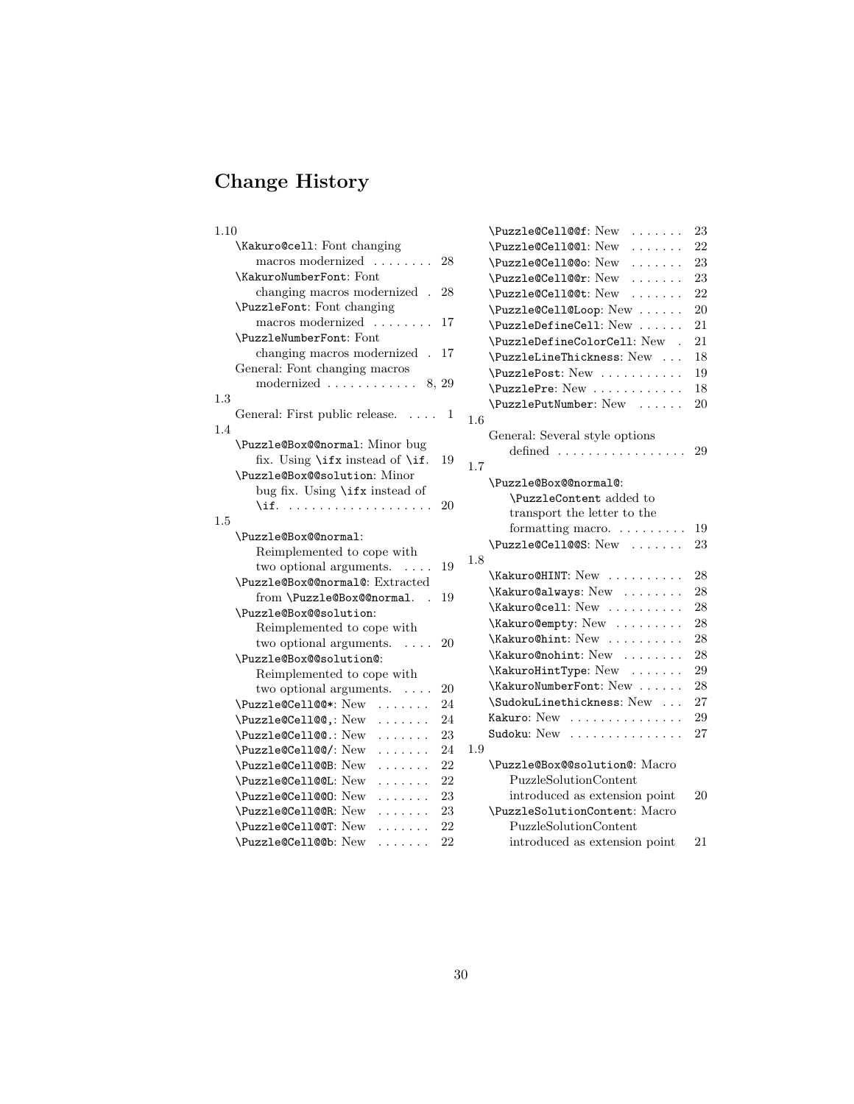# Change History

## 1.10

| \Kakuro@cell: Font changing                        |    |              |
|----------------------------------------------------|----|--------------|
| macros modernized<br>$\sim$                        | 28 |              |
| \KakuroNumberFont: Font                            |    |              |
| changing macros modernized.                        | 28 |              |
| \PuzzleFont: Font changing                         |    |              |
| macros modernized                                  | 17 |              |
| \PuzzleNumberFont: Font                            |    |              |
| changing macros modernized<br>$\ddot{\phantom{a}}$ | 17 |              |
| General: Font changing macros                      |    |              |
| modernized $\ldots \ldots \ldots \ldots 8, 29$     |    |              |
| $1.3\,$                                            |    |              |
| General: First public release.                     | 1  | $\mathbf{1}$ |
| 1.4                                                |    |              |
| \Puzzle@Box@@normal: Minor bug                     |    |              |
| fix. Using \ifx instead of \if.                    | 19 | $\mathbf{1}$ |
| \Puzzle@Box@@solution: Minor                       |    |              |
| bug fix. Using \ifx instead of                     |    |              |
| \if.<br>.                                          | 20 |              |
| 1.5                                                |    |              |
| \Puzzle@Box@@normal:                               |    |              |
| Reimplemented to cope with                         |    |              |
| two optional arguments.<br>.                       | 19 | 1            |
| \Puzzle@Box@@normal@: Extracted                    |    |              |
| from \Puzzle@Box@@normal.<br>$\overline{a}$        | 19 |              |
| \Puzzle@Box@@solution:                             |    |              |
| Reimplemented to cope with                         |    |              |
| two optional arguments.<br>$\sim$                  | 20 |              |
| \Puzzle@Box@@solution@:                            |    |              |
| Reimplemented to cope with                         |    |              |
| two optional arguments. $\dots$                    | 20 |              |
| \Puzzle@Cell@@*: New<br>$\cdots$                   | 24 |              |
| \Puzzle@Cell@@.: New                               | 24 |              |
| \Puzzle@Cell@@.: New<br>.                          | 23 |              |
| \Puzzle@Cell@@/: New<br>.                          | 24 | 1            |
| \Puzzle@Cell@@B: New<br>.                          | 22 |              |
| \Puzzle@Cell@@L: New<br>.                          | 22 |              |
| \Puzzle@Cell@@O: New<br>.                          | 23 |              |
| \Puzzle@Cell@@R: New                               | 23 |              |
| \Puzzle@Cell@@T: New                               | 22 |              |
| \Puzzle@Cell@@b: New<br>.                          | 22 |              |

|     | \Puzzle@Cell@@f: New<br>.                              | 23 |
|-----|--------------------------------------------------------|----|
|     | \Puzzle@Cell@@1: New<br>.                              | 22 |
|     | \Puzzle@Cell@@o: New                                   | 23 |
|     | \Puzzle@Cell@@r: New<br>.                              | 23 |
|     | \Puzzle@Cell@@t: New<br>.                              | 22 |
|     | \Puzzle@Cell@Loop: New                                 | 20 |
|     | \PuzzleDefineCell: New                                 | 21 |
|     | \PuzzleDefineColorCell: New .                          | 21 |
|     | \PuzzleLineThickness: New                              | 18 |
|     | \PuzzlePost: New                                       | 19 |
|     | \PuzzlePre: New                                        | 18 |
|     | \PuzzlePutNumber: New                                  | 20 |
| 1.6 |                                                        |    |
|     | General: Several style options                         |    |
|     | defined $\ldots$<br>$\sim$ $\sim$ $\sim$ $\sim$ $\sim$ | 29 |
| 1.7 |                                                        |    |
|     | \Puzzle@Box@@normal@:                                  |    |
|     | \PuzzleContent added to                                |    |
|     | transport the letter to the                            |    |
|     | formatting macro.                                      | 19 |
|     | \Puzzle@Cell@@S: New                                   | 23 |
| 1.8 |                                                        |    |
|     | \Kakuro@HINT: New                                      | 28 |
|     | \Kakuro@always: New                                    | 28 |
|     | \Kakuro@cell: New                                      | 28 |
|     | \Kakuro@empty: New                                     | 28 |
|     | \Kakuro@hint: New                                      | 28 |
|     | \Kakuro@nohint: New                                    | 28 |
|     | \KakuroHintType: New                                   | 29 |
|     | \KakuroNumberFont: New                                 | 28 |
|     | \SudokuLinethickness: New                              | 27 |
|     | Kakuro: New<br>.                                       | 29 |
|     | Sudoku: New<br>.                                       | 27 |
| 1.9 |                                                        |    |
|     | \Puzzle@Box@@solution@: Macro                          |    |
|     | PuzzleSolutionContent                                  |    |
|     | introduced as extension point                          | 20 |
|     | \PuzzleSolutionContent: Macro                          |    |
|     | <b>PuzzleSolutionContent</b>                           |    |
|     | introduced as extension point                          | 21 |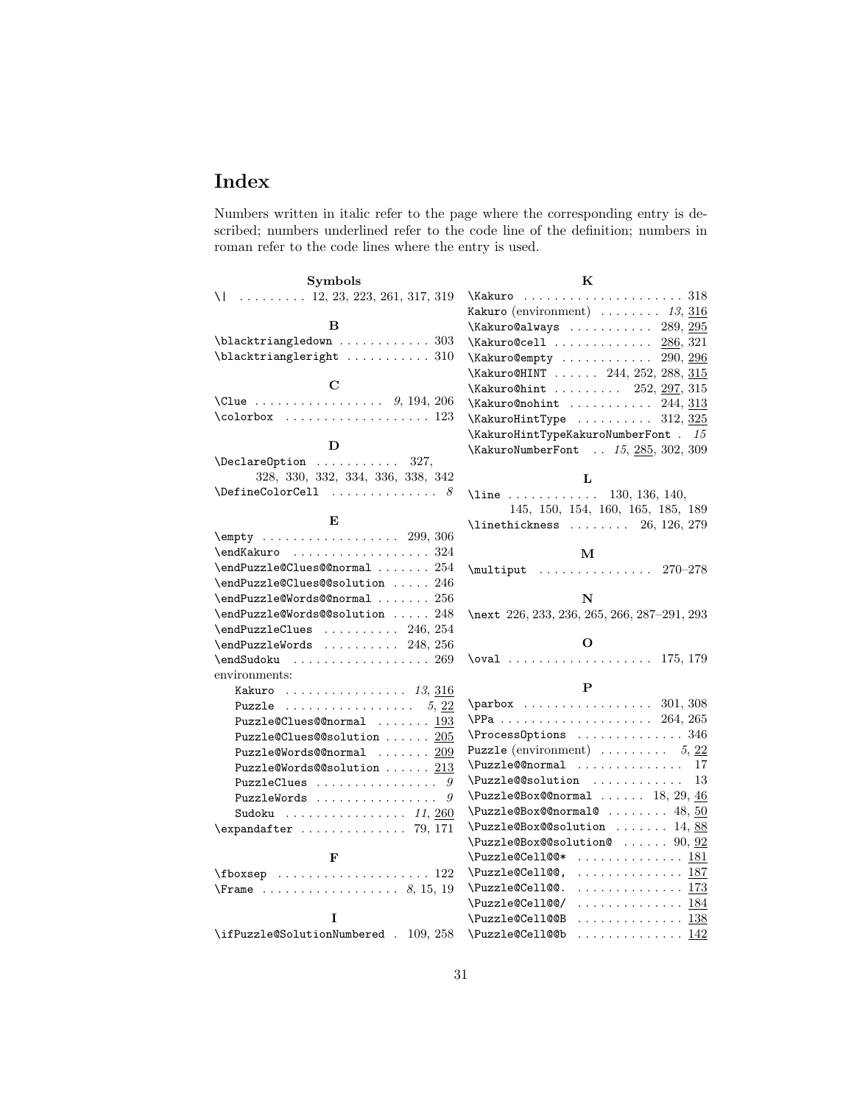## Index

Numbers written in italic refer to the page where the corresponding entry is described; numbers underlined refer to the code line of the definition; numbers in roman refer to the code lines where the entry is used.

| <b>Symbols</b>                                              | K                                                           |
|-------------------------------------------------------------|-------------------------------------------------------------|
| $\setminus$ 12, 23, 223, 261, 317, 319                      |                                                             |
|                                                             | Kakuro (environment) $\ldots \ldots \ldots$ 13, 316         |
| B                                                           | $\kappa$ akuro@always  289, 295                             |
| $\blacksquare$ blacktriangledown  303                       | $\kappa$ akuro@cell  286, 321                               |
| $\blacksquare$ blacktriangleright  310                      | \Kakuro@empty<br>290, 296                                   |
|                                                             | \Kakuro@HINT  244, 252, 288, 315                            |
| $\mathbf C$                                                 | \Kakuro@hint  252, 297, 315                                 |
| \Clue 9, 194, 206                                           | $\kappa$ akuro@nohint  244, 313                             |
|                                                             | $\kappa$ akuroHintType  312, 325                            |
|                                                             | $\kappa$ akuroHintTypeKakuroNumberFont . 15                 |
| D                                                           | \KakuroNumberFont  15, 285, 302, 309                        |
| $\Delta$ PeclareOption  327,                                |                                                             |
| 328, 330, 332, 334, 336, 338, 342                           | L                                                           |
| $\left\{\text{DefineColorCell}\right.\dots\dots\dots\quad8$ | \line $\dots \dots \dots \dots$ 130, 136, 140,              |
|                                                             | 145, 150, 154, 160, 165, 185, 189                           |
| E                                                           | $\verb \linethickness   \dots 26, 126, 279$                 |
| $\emptyset$ 299, 306                                        |                                                             |
|                                                             | м                                                           |
| \endPuzzle@Clues@@normal  254                               | $\text{l}$ ultiput  270-278                                 |
| \endPuzzle@Clues@@solution  246                             |                                                             |
| \endPuzzle@Words@@normal  256                               | N                                                           |
| \endPuzzle@Words@@solution  248                             | \next 226, 233, 236, 265, 266, 287-291, 293                 |
| $\end{PuzzleClues$ 246, 254                                 |                                                             |
| $\end{PuzzleWords$ 248, 256                                 | О                                                           |
| $\end$ Sudoku  269                                          | $\text{175}, 179$                                           |
| environments:                                               |                                                             |
| Kakuro $13,316$                                             | P                                                           |
| Puzzle $5, 22$                                              | $\parbox{301, 308}$                                         |
| $Puzzle@Clues@normal$ $193$                                 | $PPa$ 264, 265                                              |
| Puzzle@Clues@@solution  205                                 | \ProcessOptions  346                                        |
| Puzzle@Words@@normal  209                                   | <b>Puzzle</b> (environment) $\ldots \ldots \ldots 5$ , 22   |
| Puzzle@Words@@solution $213$                                | \Puzzle@@normal  17                                         |
| PuzzleClues<br>9                                            | $\text{Puzzle@solution} \dots \dots \dots \dots \ 13$       |
| PuzzleWords<br>9                                            | $\text{Puzzle@Box@normal} \dots 18, 29, \underline{46}$     |
| Sudoku $\ldots \ldots \ldots \ldots 11,260$                 | $\text{Puzzle@Box@normal@ } \ldots \ldots \quad 48,50$      |
| $\exp\{ter \dots \dots \dots \ 79, 171\}$                   | $\text{Puzzle@Box@solution} \dots \dots \ 14, \frac{88}{1}$ |
|                                                             | $\text{Puzzle@Box@solution@   90, } \frac{92}{92}$          |
| F                                                           | \Puzzle@Cell@@*<br>. <u>181</u>                             |
|                                                             | . 187<br>\Puzzle@Cell@@,                                    |
|                                                             | . 173<br>\Puzzle@Cell@@.                                    |
|                                                             | \Puzzle@Cell@@/<br>. 184                                    |
| I                                                           | . 138<br>\Puzzle@Cell@@B                                    |
| \ifPuzzle@SolutionNumbered . 109, 258                       | \Puzzle@Cell@@b<br>. <u>142</u>                             |
|                                                             |                                                             |